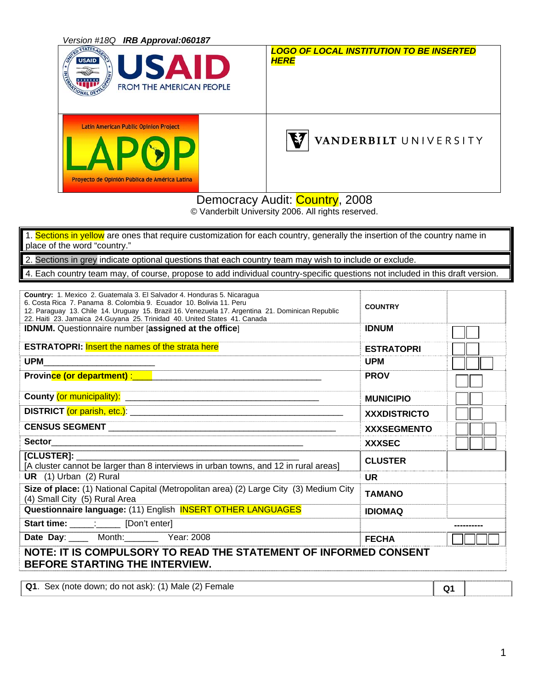| Version #18Q IRB Approval:060187                                                              |                                                                |
|-----------------------------------------------------------------------------------------------|----------------------------------------------------------------|
| <b>STATES</b><br><b>USAID</b><br>SАI<br>ID<br>I ÷<br>E ME<br><b>FROM THE AMERICAN PEOPLE</b>  | <b>LOGO OF LOCAL INSTITUTION TO BE INSERTED</b><br><b>HERE</b> |
| <b>Latin American Public Opinion Project</b><br>Proyecto de Opinión Pública de América Latina | VANDERBILT UNIVERSITY                                          |

Democracy Audit: Country, 2008

© Vanderbilt University 2006. All rights reserved.

1. Sections in yellow are ones that require customization for each country, generally the insertion of the country name in place of the word "country." 2. Sections in grey indicate optional questions that each country team may wish to include or exclude. 4. Each country team may, of course, propose to add individual country-specific questions not included in this draft version.

| Country: 1. Mexico 2. Guatemala 3. El Salvador 4. Honduras 5. Nicaragua<br>6. Costa Rica 7. Panama 8. Colombia 9. Ecuador 10. Bolivia 11. Peru<br>12. Paraguay 13. Chile 14. Uruguay 15. Brazil 16. Venezuela 17. Argentina 21. Dominican Republic<br>22. Haiti 23. Jamaica 24. Guyana 25. Trinidad 40. United States 41. Canada | <b>COUNTRY</b>      |                |  |
|----------------------------------------------------------------------------------------------------------------------------------------------------------------------------------------------------------------------------------------------------------------------------------------------------------------------------------|---------------------|----------------|--|
| <b>IDNUM.</b> Questionnaire number [assigned at the office]                                                                                                                                                                                                                                                                      | <b>IDNUM</b>        |                |  |
| <b>ESTRATOPRI:</b> Insert the names of the strata here                                                                                                                                                                                                                                                                           | <b>ESTRATOPRI</b>   |                |  |
| <b>UPM</b>                                                                                                                                                                                                                                                                                                                       | <b>UPM</b>          |                |  |
|                                                                                                                                                                                                                                                                                                                                  | <b>PROV</b>         |                |  |
|                                                                                                                                                                                                                                                                                                                                  | <b>MUNICIPIO</b>    |                |  |
|                                                                                                                                                                                                                                                                                                                                  | <b>XXXDISTRICTO</b> |                |  |
|                                                                                                                                                                                                                                                                                                                                  | <b>XXXSEGMENTO</b>  |                |  |
|                                                                                                                                                                                                                                                                                                                                  | <b>XXXSEC</b>       |                |  |
| [CLUSTER]:<br>[A cluster cannot be larger than 8 interviews in urban towns, and 12 in rural areas]                                                                                                                                                                                                                               | <b>CLUSTER</b>      |                |  |
| UR (1) Urban (2) Rural                                                                                                                                                                                                                                                                                                           | <b>UR</b>           |                |  |
| Size of place: (1) National Capital (Metropolitan area) (2) Large City (3) Medium City<br>(4) Small City (5) Rural Area                                                                                                                                                                                                          | <b>TAMANO</b>       |                |  |
| Questionnaire language: (11) English <b>INSERT OTHER LANGUAGES</b>                                                                                                                                                                                                                                                               | <b>IDIOMAQ</b>      |                |  |
| Start time: : [Don't enter]                                                                                                                                                                                                                                                                                                      |                     |                |  |
| Date Day: Month: Year: 2008                                                                                                                                                                                                                                                                                                      | <b>FECHA</b>        |                |  |
| NOTE: IT IS COMPULSORY TO READ THE STATEMENT OF INFORMED CONSENT<br>BEFORE STARTING THE INTERVIEW.                                                                                                                                                                                                                               |                     |                |  |
|                                                                                                                                                                                                                                                                                                                                  |                     |                |  |
| Q1. Sex (note down; do not ask): (1) Male (2) Female                                                                                                                                                                                                                                                                             |                     | Q <sub>1</sub> |  |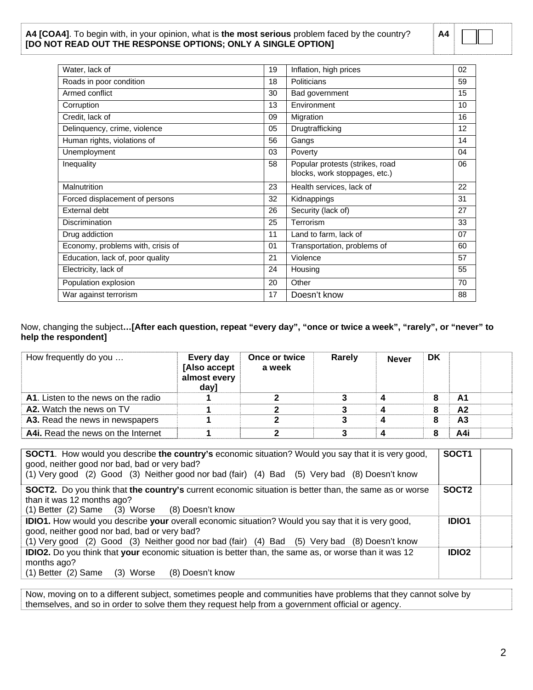#### **A4 [COA4]**. To begin with, in your opinion, what is **the most serious** problem faced by the country? **[DO NOT READ OUT THE RESPONSE OPTIONS; ONLY A SINGLE OPTION]**

| Δ4 |  | ------------ |  |
|----|--|--------------|--|
|    |  |              |  |

| Water, lack of                    | 19 | Inflation, high prices                                           | 02 |
|-----------------------------------|----|------------------------------------------------------------------|----|
| Roads in poor condition           | 18 | Politicians                                                      | 59 |
| Armed conflict                    | 30 | Bad government                                                   | 15 |
| Corruption                        | 13 | Environment                                                      | 10 |
| Credit, lack of                   | 09 | Migration                                                        | 16 |
| Delinquency, crime, violence      | 05 | Drugtrafficking                                                  | 12 |
| Human rights, violations of       | 56 | Gangs                                                            | 14 |
| Unemployment                      | 03 | Poverty                                                          | 04 |
| Inequality                        | 58 | Popular protests (strikes, road<br>blocks, work stoppages, etc.) | 06 |
| Malnutrition                      | 23 | Health services, lack of                                         | 22 |
| Forced displacement of persons    | 32 | Kidnappings                                                      | 31 |
| External debt                     | 26 | Security (lack of)                                               | 27 |
| <b>Discrimination</b>             | 25 | Terrorism                                                        | 33 |
| Drug addiction                    | 11 | Land to farm, lack of                                            | 07 |
| Economy, problems with, crisis of | 01 | Transportation, problems of                                      | 60 |
| Education, lack of, poor quality  | 21 | Violence                                                         | 57 |
| Electricity, lack of              | 24 | Housing                                                          | 55 |
| Population explosion              | 20 | Other                                                            | 70 |
| War against terrorism             | 17 | Doesn't know                                                     | 88 |

Now, changing the subject**…[After each question, repeat "every day", "once or twice a week", "rarely", or "never" to help the respondent]** 

| How frequently do you                      | Every day<br>[Also accept<br>almost every<br>day] | Once or twice<br>a week | Rarely | <b>Never</b> | DK |                |  |
|--------------------------------------------|---------------------------------------------------|-------------------------|--------|--------------|----|----------------|--|
| <b>A1.</b> Listen to the news on the radio |                                                   |                         |        |              |    | A1             |  |
| A2. Watch the news on TV                   |                                                   |                         |        |              |    | A <sub>2</sub> |  |
| A3. Read the news in newspapers            |                                                   |                         |        |              |    | А3             |  |
| A4i. Read the news on the Internet         |                                                   |                         |        |              |    | A4i            |  |

| <b>SOCT1.</b> How would you describe the country's economic situation? Would you say that it is very good,<br>good, neither good nor bad, bad or very bad?<br>(1) Very good (2) Good (3) Neither good nor bad (fair) (4) Bad (5) Very bad (8) Doesn't know | SOCT <sub>1</sub> |  |
|------------------------------------------------------------------------------------------------------------------------------------------------------------------------------------------------------------------------------------------------------------|-------------------|--|
| <b>SOCT2.</b> Do you think that the country's current economic situation is better than, the same as or worse<br>than it was 12 months ago?<br>(1) Better (2) Same (3) Worse (8) Doesn't know                                                              | SOCT <sub>2</sub> |  |
| <b>IDIO1.</b> How would you describe your overall economic situation? Would you say that it is very good,<br>good, neither good nor bad, bad or very bad?<br>(1) Very good (2) Good (3) Neither good nor bad (fair) (4) Bad (5) Very bad (8) Doesn't know  | <b>IDIO1</b>      |  |
| IDIO2. Do you think that your economic situation is better than, the same as, or worse than it was 12<br>months ago?<br>$(1)$ Better $(2)$ Same<br>(8) Doesn't know<br>(3) Worse                                                                           | <b>IDIO2</b>      |  |

Now, moving on to a different subject, sometimes people and communities have problems that they cannot solve by themselves, and so in order to solve them they request help from a government official or agency.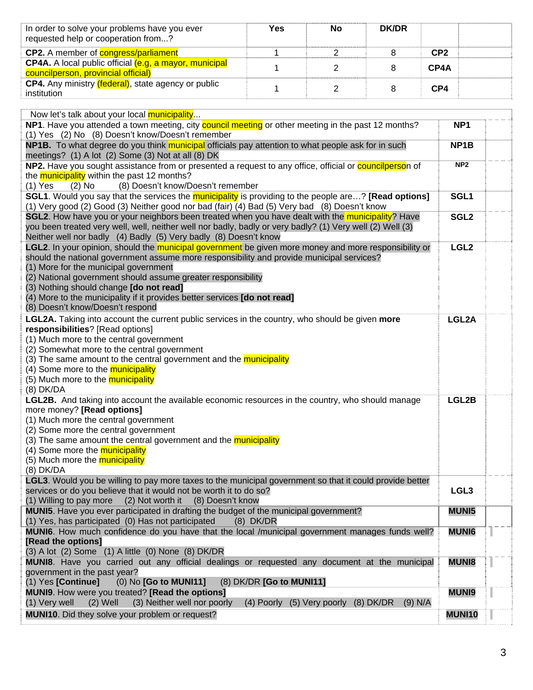| In order to solve your problems have you ever<br>requested help or cooperation from? | Yes | No | <b>DK/DR</b> |                 |  |
|--------------------------------------------------------------------------------------|-----|----|--------------|-----------------|--|
| <b>CP2.</b> A member of <b>congress/parliament</b>                                   |     |    |              | CP <sub>2</sub> |  |
| <b>CP4A.</b> A local public official (e.g. a mayor, municipal                        |     |    |              | CP4A            |  |
| councilperson, provincial official)                                                  |     |    |              |                 |  |
| <b>CP4.</b> Any ministry <i>(federal)</i> , state agency or public                   |     |    |              | CP4             |  |
| institution                                                                          |     |    |              |                 |  |

| Now let's talk about your local municipality                                                                                                                              |                   |  |
|---------------------------------------------------------------------------------------------------------------------------------------------------------------------------|-------------------|--|
| NP1. Have you attended a town meeting, city council meeting or other meeting in the past 12 months?                                                                       | NP <sub>1</sub>   |  |
| (1) Yes (2) No (8) Doesn't know/Doesn't remember                                                                                                                          |                   |  |
| NP1B. To what degree do you think municipal officials pay attention to what people ask for in such                                                                        | NP <sub>1</sub> B |  |
| meetings? (1) A lot (2) Some (3) Not at all (8) DK                                                                                                                        |                   |  |
| NP2. Have you sought assistance from or presented a request to any office, official or <b>councilperson</b> of                                                            | NP <sub>2</sub>   |  |
| the municipality within the past 12 months?                                                                                                                               |                   |  |
| $(1)$ Yes<br>(8) Doesn't know/Doesn't remember<br>$(2)$ No                                                                                                                |                   |  |
| <b>SGL1.</b> Would you say that the services the municipality is providing to the people are? [Read options]                                                              | SGL1              |  |
| (1) Very good (2) Good (3) Neither good nor bad (fair) (4) Bad (5) Very bad (8) Doesn't know                                                                              |                   |  |
| SGL2. How have you or your neighbors been treated when you have dealt with the municipality? Have                                                                         | SGL <sub>2</sub>  |  |
| you been treated very well, well, neither well nor badly, badly or very badly? (1) Very well (2) Well (3)                                                                 |                   |  |
| Neither well nor badly (4) Badly (5) Very badly (8) Doesn't know<br>LGL2. In your opinion, should the municipal government be given more money and more responsibility or | LGL <sub>2</sub>  |  |
| should the national government assume more responsibility and provide municipal services?                                                                                 |                   |  |
| (1) More for the municipal government                                                                                                                                     |                   |  |
| (2) National government should assume greater responsibility                                                                                                              |                   |  |
| (3) Nothing should change [do not read]                                                                                                                                   |                   |  |
| (4) More to the municipality if it provides better services [do not read]                                                                                                 |                   |  |
| (8) Doesn't know/Doesn't respond                                                                                                                                          |                   |  |
| LGL2A. Taking into account the current public services in the country, who should be given more                                                                           | LGL2A             |  |
| responsibilities? [Read options]                                                                                                                                          |                   |  |
| (1) Much more to the central government                                                                                                                                   |                   |  |
| (2) Somewhat more to the central government                                                                                                                               |                   |  |
| (3) The same amount to the central government and the municipality                                                                                                        |                   |  |
| (4) Some more to the <b>municipality</b>                                                                                                                                  |                   |  |
| (5) Much more to the <b>municipality</b>                                                                                                                                  |                   |  |
| (8) DK/DA                                                                                                                                                                 |                   |  |
| LGL2B. And taking into account the available economic resources in the country, who should manage                                                                         | LGL2B             |  |
| more money? [Read options]                                                                                                                                                |                   |  |
| (1) Much more the central government                                                                                                                                      |                   |  |
| (2) Some more the central government                                                                                                                                      |                   |  |
| (3) The same amount the central government and the <b>municipality</b>                                                                                                    |                   |  |
| (4) Some more the <b>municipality</b>                                                                                                                                     |                   |  |
| (5) Much more the <b>municipality</b>                                                                                                                                     |                   |  |
| (8) DK/DA<br>LGL3. Would you be willing to pay more taxes to the municipal government so that it could provide better                                                     |                   |  |
| services or do you believe that it would not be worth it to do so?                                                                                                        | LGL <sub>3</sub>  |  |
| (1) Willing to pay more (2) Not worth it (8) Doesn't know                                                                                                                 |                   |  |
| <b>MUNI5.</b> Have you ever participated in drafting the budget of the municipal government?                                                                              | <b>MUNI5</b>      |  |
| (1) Yes, has participated (0) Has not participated<br>$(8)$ DK/DR                                                                                                         |                   |  |
| MUNI6. How much confidence do you have that the local /municipal government manages funds well?                                                                           | <b>MUNI6</b>      |  |
| [Read the options]                                                                                                                                                        |                   |  |
| $(3)$ A lot $(2)$ Some $(1)$ A little $(0)$ None $(8)$ DK/DR                                                                                                              |                   |  |
| MUNI8. Have you carried out any official dealings or requested any document at the municipal                                                                              | <b>MUNI8</b>      |  |
| government in the past year?                                                                                                                                              |                   |  |
| (1) Yes [Continue]<br>(0) No [Go to MUNI11]<br>(8) DK/DR [Go to MUNI11]                                                                                                   |                   |  |
| MUNI9. How were you treated? [Read the options]                                                                                                                           | <b>MUNI9</b>      |  |
| (1) Very well<br>(3) Neither well nor poorly<br>$(2)$ Well<br>(4) Poorly (5) Very poorly (8) DK/DR<br>$(9)$ N/A                                                           |                   |  |
| MUNI10. Did they solve your problem or request?                                                                                                                           | <b>MUNI10</b>     |  |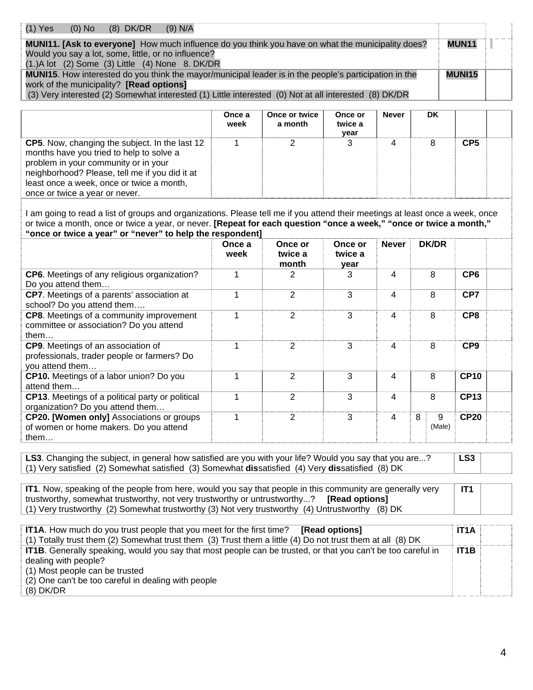| $(1)$ Yes<br>$(9)$ N/A<br>$(8)$ DK/DR<br>$(0)$ No                                                        |               |  |
|----------------------------------------------------------------------------------------------------------|---------------|--|
| <b>MUNI11. [Ask to everyone]</b> How much influence do you think you have on what the municipality does? | <b>MUN11</b>  |  |
| Would you say a lot, some, little, or no influence?                                                      |               |  |
| $(1.)$ A lot $(2)$ Some $(3)$ Little $(4)$ None 8. DK/DR                                                 |               |  |
| MUNI15. How interested do you think the mayor/municipal leader is in the people's participation in the   | <b>MUNI15</b> |  |
| work of the municipality? [Read options]                                                                 |               |  |
| (3) Very interested (2) Somewhat interested (1) Little interested (0) Not at all interested (8) DK/DR    |               |  |

|                                                                                                                                                                                                                                                                     | Once a<br>week | Once or twice<br>a month | Once or<br>twice a<br>vear | <b>Never</b> | DK |                 |  |
|---------------------------------------------------------------------------------------------------------------------------------------------------------------------------------------------------------------------------------------------------------------------|----------------|--------------------------|----------------------------|--------------|----|-----------------|--|
| CP5. Now, changing the subject. In the last 12<br>months have you tried to help to solve a<br>problem in your community or in your<br>neighborhood? Please, tell me if you did it at<br>least once a week, once or twice a month,<br>once or twice a year or never. |                |                          |                            |              | 8  | CP <sub>5</sub> |  |

I am going to read a list of groups and organizations. Please tell me if you attend their meetings at least once a week, once or twice a month, once or twice a year, or never. **[Repeat for each question "once a week," "once or twice a month," "once or twice a year" or "never" to help the respondent]**

|                                                                                                             | Once a<br>week | Once or<br>twice a<br>month | Once or<br>twice a<br>year | <b>Never</b> | <b>DK/DR</b>     |                 |
|-------------------------------------------------------------------------------------------------------------|----------------|-----------------------------|----------------------------|--------------|------------------|-----------------|
| <b>CP6.</b> Meetings of any religious organization?<br>Do you attend them                                   |                |                             | 3                          | 4            | 8                | CP <sub>6</sub> |
| <b>CP7.</b> Meetings of a parents' association at<br>school? Do you attend them                             |                | 2                           | 3                          | 4            | 8                | CP7             |
| <b>CP8.</b> Meetings of a community improvement<br>committee or association? Do you attend<br>them $\dots$  | 1              | 2                           | 3                          | 4            | 8                | CP <sub>8</sub> |
| <b>CP9.</b> Meetings of an association of<br>professionals, trader people or farmers? Do<br>you attend them |                | 2                           | 3                          | 4            | 8                | CP <sub>9</sub> |
| <b>CP10.</b> Meetings of a labor union? Do you<br>attend them                                               |                | 2                           | 3                          | 4            | 8                | <b>CP10</b>     |
| <b>CP13.</b> Meetings of a political party or political<br>organization? Do you attend them                 |                | 2                           | 3                          | 4            | 8                | <b>CP13</b>     |
| <b>CP20. [Women only]</b> Associations or groups<br>of women or home makers. Do you attend<br>them          |                | 2                           | 3                          | 4            | 8<br>9<br>(Male) | <b>CP20</b>     |

LS3. Changing the subject, in general how satisfied are you with your life? Would you say that you are...? (1) Very satisfied (2) Somewhat satisfied (3) Somewhat **dis**satisfied (4) Very **dis**satisfied (8) DK **LS3** 

**IT1**. Now, speaking of the people from here, would you say that people in this community are generally very trustworthy, somewhat trustworthy, not very trustworthy or untrustworthy...? **[Read options]**  (1) Very trustworthy (2) Somewhat trustworthy (3) Not very trustworthy (4) Untrustworthy (8) DK **IT1** 

| <b>IT1A.</b> How much do you trust people that you meet for the first time?<br><b>Read optionsl</b>                 | <b>IT1A</b>       |  |
|---------------------------------------------------------------------------------------------------------------------|-------------------|--|
| (1) Totally trust them (2) Somewhat trust them (3) Trust them a little (4) Do not trust them at all (8) DK          |                   |  |
| <b>IT1B.</b> Generally speaking, would you say that most people can be trusted, or that you can't be too careful in | IT <sub>1</sub> B |  |
| dealing with people?                                                                                                |                   |  |
| (1) Most people can be trusted                                                                                      |                   |  |
| (2) One can't be too careful in dealing with people                                                                 |                   |  |
| $(8)$ DK/DR                                                                                                         |                   |  |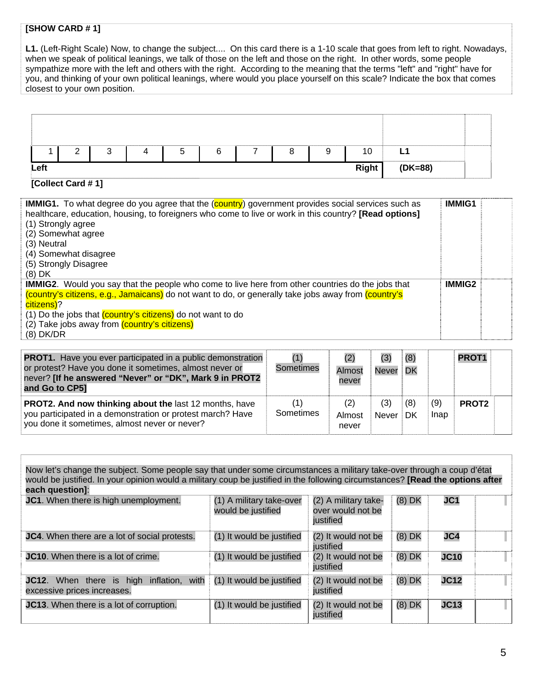## **[SHOW CARD # 1]**

**L1.** (Left-Right Scale) Now, to change the subject.... On this card there is a 1-10 scale that goes from left to right. Nowadays, when we speak of political leanings, we talk of those on the left and those on the right. In other words, some people sympathize more with the left and others with the right. According to the meaning that the terms "left" and "right" have for you, and thinking of your own political leanings, where would you place yourself on this scale? Indicate the box that comes closest to your own position.

|      | ົ<br>_ | ົ<br>v | b | ⌒<br>b | 8 | a | 10    |         |  |
|------|--------|--------|---|--------|---|---|-------|---------|--|
| Left |        |        |   |        |   |   | Right | (DK=88) |  |

#### **[Collect Card # 1]**

| <b>IMMIG1.</b> To what degree do you agree that the (country) government provides social services such as<br>healthcare, education, housing, to foreigners who come to live or work in this country? [Read options]<br>(1) Strongly agree<br>(2) Somewhat agree<br>(3) Neutral<br>(4) Somewhat disagree<br>(5) Strongly Disagree<br>$(8)$ DK                 | <b>IMMIG1</b> |  |
|--------------------------------------------------------------------------------------------------------------------------------------------------------------------------------------------------------------------------------------------------------------------------------------------------------------------------------------------------------------|---------------|--|
| <b>IMMIG2.</b> Would you say that the people who come to live here from other countries do the jobs that<br>(country's citizens, e.g., Jamaicans) do not want to do, or generally take jobs away from (country's<br>citizens)?<br>(1) Do the jobs that (country's citizens) do not want to do<br>(2) Take jobs away from (country's citizens)<br>$(8)$ DK/DR | <b>IMMIG2</b> |  |

| <b>PROT1.</b> Have you ever participated in a public demonstration<br>or protest? Have you done it sometimes, almost never or<br>never? [If he answered "Never" or "DK", Mark 9 in PROT2<br>and Go to CP5] | Sometimes        | (2)<br><b>Almost</b><br>never | (3)<br>Never | (8)<br><b>DK</b> |             | PROT <sub>1</sub> |  |
|------------------------------------------------------------------------------------------------------------------------------------------------------------------------------------------------------------|------------------|-------------------------------|--------------|------------------|-------------|-------------------|--|
| <b>PROT2. And now thinking about the last 12 months, have</b><br>you participated in a demonstration or protest march? Have<br>you done it sometimes, almost never or never?                               | (1)<br>Sometimes | (2)<br>Almost<br>never        | (3)<br>Never | (8)<br><b>DK</b> | (9)<br>Inap | PROT <sub>2</sub> |  |

Now let's change the subject. Some people say that under some circumstances a military take-over through a coup d'état would be justified. In your opinion would a military coup be justified in the following circumstances? **[Read the options after each question]**: **JC1**. When there is high unemployment. (1) A military take-over would be justified (2) A military takeover would not be justified (8) DK **JC1 JC4**. When there are a lot of social protests. (1) It would be justified (2) It would not be justified<br>(2) It would not be (8) DK **JC4 JC10**. When there is a lot of crime. (1) It would be justified iustified (8) DK **JC10 JC12**. When there is high inflation, with excessive prices increases. (1) It would be justified (2) It would not be justified (8) DK **JC12 JC13**. When there is a lot of corruption. (1) It would be justified (2) It would not be justified (8) DK **JC13**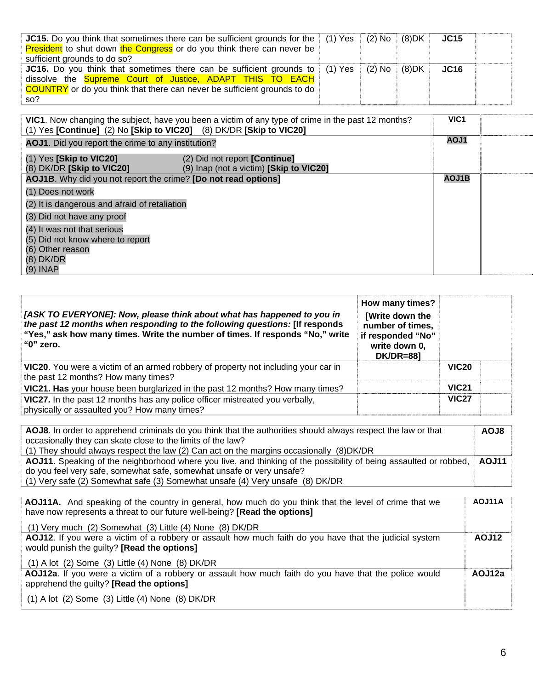| <b>JC15.</b> Do you think that sometimes there can be sufficient grounds for the $(1)$ Yes $(2)$ No<br><b>President</b> to shut down the Congress or do you think there can never be<br>sufficient grounds to do so?                             |  | (8)DK | <b>JC15</b> |  |
|--------------------------------------------------------------------------------------------------------------------------------------------------------------------------------------------------------------------------------------------------|--|-------|-------------|--|
| JC16. Do you think that sometimes there can be sufficient grounds to   (1) Yes   (2) No  <br>dissolve the <b>Supreme Court of Justice, ADAPT THIS TO EACH</b><br><b>COUNTRY</b> or do you think that there can never be sufficient grounds to do |  | (8)DK | <b>JC16</b> |  |
| so?                                                                                                                                                                                                                                              |  |       |             |  |

| (1) Yes [Continue] (2) No [Skip to VIC20] (8) DK/DR [Skip to VIC20] | VIC1. Now changing the subject, have you been a victim of any type of crime in the past 12 months? | VIC <sub>1</sub> |  |
|---------------------------------------------------------------------|----------------------------------------------------------------------------------------------------|------------------|--|
| AOJ1. Did you report the crime to any institution?                  |                                                                                                    | AOJ1             |  |
| $(1)$ Yes [Skip to VIC20]<br>$(8)$ DK/DR [Skip to VIC20]            | (2) Did not report [Continue]<br>(9) Inap (not a victim) [Skip to VIC20]                           |                  |  |
| AOJ1B. Why did you not report the crime? [Do not read options]      |                                                                                                    | <b>AOJ1B</b>     |  |
| (1) Does not work                                                   |                                                                                                    |                  |  |
| (2) It is dangerous and afraid of retaliation                       |                                                                                                    |                  |  |
| (3) Did not have any proof                                          |                                                                                                    |                  |  |
| (4) It was not that serious                                         |                                                                                                    |                  |  |
| (5) Did not know where to report                                    |                                                                                                    |                  |  |
| (6) Other reason                                                    |                                                                                                    |                  |  |
| $(8)$ DK/DR                                                         |                                                                                                    |                  |  |
| $(9)$ INAP                                                          |                                                                                                    |                  |  |

| [ASK TO EVERYONE]: Now, please think about what has happened to you in<br>the past 12 months when responding to the following questions: [If responds<br>"Yes," ask how many times. Write the number of times. If responds "No," write<br>" $0$ " zero. | How many times?<br><b>[Write down the</b><br>number of times,<br>if responded "No"<br>write down 0,<br><b>DK/DR=881</b> |              |  |
|---------------------------------------------------------------------------------------------------------------------------------------------------------------------------------------------------------------------------------------------------------|-------------------------------------------------------------------------------------------------------------------------|--------------|--|
| VIC20. You were a victim of an armed robbery of property not including your car in<br>the past 12 months? How many times?                                                                                                                               |                                                                                                                         | <b>VIC20</b> |  |
| VIC21. Has your house been burglarized in the past 12 months? How many times?                                                                                                                                                                           |                                                                                                                         | <b>VIC21</b> |  |
| VIC27. In the past 12 months has any police officer mistreated you verbally,<br>physically or assaulted you? How many times?                                                                                                                            |                                                                                                                         | <b>VIC27</b> |  |

| AOJ8. In order to apprehend criminals do you think that the authorities should always respect the law or that<br>occasionally they can skate close to the limits of the law?       | <b>AOJ8</b> |
|------------------------------------------------------------------------------------------------------------------------------------------------------------------------------------|-------------|
| (1) They should always respect the law (2) Can act on the margins occasionally (8)DK/DR                                                                                            |             |
| AOJ11. Speaking of the neighborhood where you live, and thinking of the possibility of being assaulted or robbed,                                                                  | AOJ11       |
| do you feel very safe, somewhat safe, somewhat unsafe or very unsafe?                                                                                                              |             |
| (1) Very safe (2) Somewhat safe (3) Somewhat unsafe (4) Very unsafe (8) DK/DR                                                                                                      |             |
|                                                                                                                                                                                    |             |
| AOJ11A. And speaking of the country in general, how much do you think that the level of crime that we<br>have now represents a threat to our future well-being? [Read the options] | AOJ11A      |
| $(1)$ Very much $(2)$ Somewhat $(3)$ Little $(4)$ None $(8)$ DK/DR                                                                                                                 |             |
| AOJ12. If you were a victim of a robbery or assault how much faith do you have that the judicial system<br>would punish the guilty? [Read the options]                             | AOJ12       |

(1) A lot (2) Some (3) Little (4) None (8) DK/DR

**AOJ12a**. If you were a victim of a robbery or assault how much faith do you have that the police would apprehend the guilty? **[Read the options] AOJ12a** 

(1) A lot (2) Some (3) Little (4) None (8) DK/DR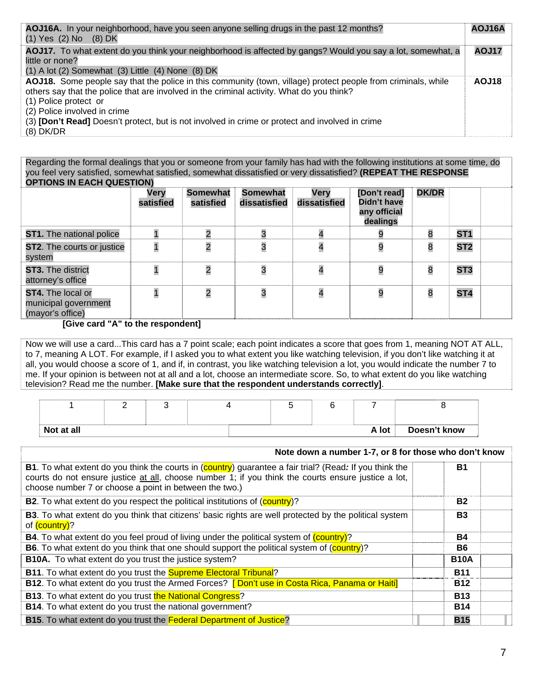| AOJ16A. In your neighborhood, have you seen anyone selling drugs in the past 12 months?<br>$(1)$ Yes $(2)$ No $(8)$ DK                                                                                                                                                                                                                                                                | AOJ16A |
|---------------------------------------------------------------------------------------------------------------------------------------------------------------------------------------------------------------------------------------------------------------------------------------------------------------------------------------------------------------------------------------|--------|
| AOJ17. To what extent do you think your neighborhood is affected by gangs? Would you say a lot, somewhat, a<br>little or none?<br>$(1)$ A lot $(2)$ Somewhat $(3)$ Little $(4)$ None $(8)$ DK                                                                                                                                                                                         | AOJ17  |
| AOJ18. Some people say that the police in this community (town, village) protect people from criminals, while<br>others say that the police that are involved in the criminal activity. What do you think?<br>(1) Police protect or<br>(2) Police involved in crime<br>(3) [Don't Read] Doesn't protect, but is not involved in crime or protect and involved in crime<br>$(8)$ DK/DR | AOJ18  |

Regarding the formal dealings that you or someone from your family has had with the following institutions at some time, do you feel very satisfied, somewhat satisfied, somewhat dissatisfied or very dissatisfied? **(REPEAT THE RESPONSE OPTIONS IN EACH QUESTION)** 

| <u>UL LIURU IR EAUR QUEU HURI</u>                             |                   |                              |                                 |                      |                                                         |              |                 |  |
|---------------------------------------------------------------|-------------------|------------------------------|---------------------------------|----------------------|---------------------------------------------------------|--------------|-----------------|--|
|                                                               | Very<br>satisfied | <b>Somewhat</b><br>satisfied | <b>Somewhat</b><br>dissatisfied | Very<br>dissatisfied | [Don't read]<br>Didn't have<br>any official<br>dealings | <b>DK/DR</b> |                 |  |
| <b>ST1.</b> The national police                               |                   | $\overline{2}$               |                                 |                      |                                                         | 8            | ST <sub>1</sub> |  |
| <b>ST2.</b> The courts or justice<br>system                   |                   | $\overline{\mathbf{c}}$      |                                 |                      | 9                                                       | 8            | ST <sub>2</sub> |  |
| ST3. The district<br>attorney's office                        |                   | $\overline{c}$               |                                 |                      | 9                                                       | 8            | ST <sub>3</sub> |  |
| ST4. The local or<br>municipal government<br>(mayor's office) |                   | $\overline{c}$               |                                 |                      | 9                                                       | 8            | ST <sub>4</sub> |  |

## **[Give card "A" to the respondent]**

Now we will use a card...This card has a 7 point scale; each point indicates a score that goes from 1, meaning NOT AT ALL, to 7, meaning A LOT. For example, if I asked you to what extent you like watching television, if you don't like watching it at all, you would choose a score of 1, and if, in contrast, you like watching television a lot, you would indicate the number 7 to me. If your opinion is between not at all and a lot, choose an intermediate score. So, to what extent do you like watching television? Read me the number. **[Make sure that the respondent understands correctly]**.

| Not at all |  |  |  |  | A lot | Doesn't know |
|------------|--|--|--|--|-------|--------------|

| Note down a number 1-7, or 8 for those who don't know                                                                                                                                                                                                                           |             |  |  |  |  |
|---------------------------------------------------------------------------------------------------------------------------------------------------------------------------------------------------------------------------------------------------------------------------------|-------------|--|--|--|--|
| <b>B1.</b> To what extent do you think the courts in (country) guarantee a fair trial? (Read: If you think the<br>courts do not ensure justice at all, choose number 1; if you think the courts ensure justice a lot,<br>choose number 7 or choose a point in between the two.) | <b>B1</b>   |  |  |  |  |
| <b>B2.</b> To what extent do you respect the political institutions of (country)?                                                                                                                                                                                               | <b>B2</b>   |  |  |  |  |
| <b>B3</b> . To what extent do you think that citizens' basic rights are well protected by the political system<br>of (country)?                                                                                                                                                 | <b>B3</b>   |  |  |  |  |
| <b>B4.</b> To what extent do you feel proud of living under the political system of (country)?                                                                                                                                                                                  | <b>B4</b>   |  |  |  |  |
| <b>B6.</b> To what extent do you think that one should support the political system of (country)?                                                                                                                                                                               | B6          |  |  |  |  |
| <b>B10A.</b> To what extent do you trust the justice system?                                                                                                                                                                                                                    | <b>B10A</b> |  |  |  |  |
| <b>B11.</b> To what extent do you trust the <b>Supreme Electoral Tribunal?</b>                                                                                                                                                                                                  | <b>B11</b>  |  |  |  |  |
| <b>B12.</b> To what extent do you trust the Armed Forces? <b>[Don't use in Costa Rica, Panama or Haiti]</b>                                                                                                                                                                     | <b>B12</b>  |  |  |  |  |
| <b>B13.</b> To what extent do you trust the National Congress?                                                                                                                                                                                                                  | <b>B13</b>  |  |  |  |  |
| B14. To what extent do you trust the national government?                                                                                                                                                                                                                       | <b>B14</b>  |  |  |  |  |
| B15. To what extent do you trust the Federal Department of Justice?                                                                                                                                                                                                             | <b>B15</b>  |  |  |  |  |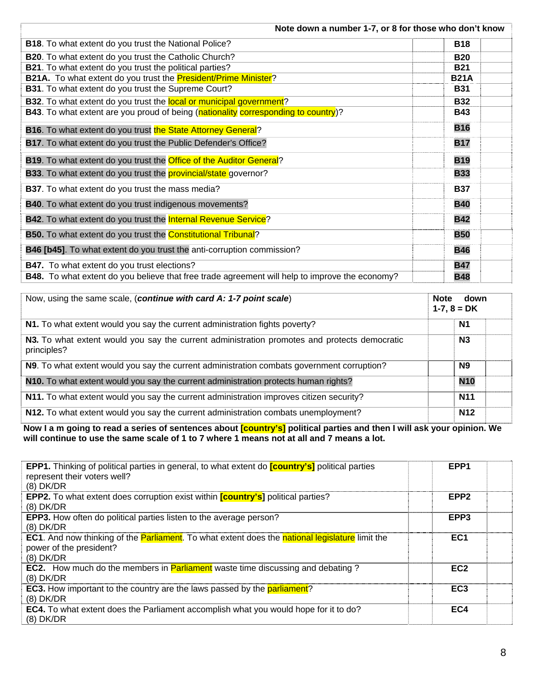| Note down a number 1-7, or 8 for those who don't know                                                 |             |  |  |  |  |
|-------------------------------------------------------------------------------------------------------|-------------|--|--|--|--|
| B18. To what extent do you trust the National Police?                                                 | <b>B18</b>  |  |  |  |  |
| B20. To what extent do you trust the Catholic Church?                                                 | <b>B20</b>  |  |  |  |  |
| <b>B21</b> . To what extent do you trust the political parties?                                       | <b>B21</b>  |  |  |  |  |
| B21A. To what extent do you trust the President/Prime Minister?                                       | <b>B21A</b> |  |  |  |  |
| B31. To what extent do you trust the Supreme Court?                                                   | <b>B31</b>  |  |  |  |  |
| <b>B32</b> . To what extent do you trust the local or municipal government?                           | <b>B32</b>  |  |  |  |  |
| <b>B43</b> . To what extent are you proud of being (nationality corresponding to country)?            | <b>B43</b>  |  |  |  |  |
| <b>B16.</b> To what extent do you trust the State Attorney General?                                   | <b>B16</b>  |  |  |  |  |
| B17. To what extent do you trust the Public Defender's Office?                                        | <b>B17</b>  |  |  |  |  |
| B19. To what extent do you trust the Office of the Auditor General?                                   | <b>B19</b>  |  |  |  |  |
| <b>B33</b> . To what extent do you trust the <b>provincial/state</b> governor?                        | <b>B33</b>  |  |  |  |  |
| <b>B37</b> . To what extent do you trust the mass media?                                              | <b>B37</b>  |  |  |  |  |
| <b>B40</b> . To what extent do you trust indigenous movements?                                        | <b>B40</b>  |  |  |  |  |
| <b>B42.</b> To what extent do you trust the <b>Internal Revenue Service</b> ?                         | <b>B42</b>  |  |  |  |  |
| <b>B50.</b> To what extent do you trust the <b>Constitutional Tribunal</b> ?                          | <b>B50</b>  |  |  |  |  |
| B46 [b45]. To what extent do you trust the anti-corruption commission?                                | <b>B46</b>  |  |  |  |  |
| <b>B47.</b> To what extent do you trust elections?                                                    | <b>B47</b>  |  |  |  |  |
| <b>B48.</b> To what extent do you believe that free trade agreement will help to improve the economy? | <b>B48</b>  |  |  |  |  |

| Now, using the same scale, (continue with card A: 1-7 point scale)                                          | <b>Note</b><br>down<br>$1-7, 8 = DK$ |
|-------------------------------------------------------------------------------------------------------------|--------------------------------------|
| N1. To what extent would you say the current administration fights poverty?                                 | N1                                   |
| N3. To what extent would you say the current administration promotes and protects democratic<br>principles? | N <sub>3</sub>                       |
| N9. To what extent would you say the current administration combats government corruption?                  | <b>N9</b>                            |
| N10. To what extent would you say the current administration protects human rights?                         | <b>N10</b>                           |
| N11. To what extent would you say the current administration improves citizen security?                     | <b>N11</b>                           |
| N12. To what extent would you say the current administration combats unemployment?                          | <b>N12</b>                           |

**Now I a m going to read a series of sentences about [country's] political parties and then I will ask your opinion. We will continue to use the same scale of 1 to 7 where 1 means not at all and 7 means a lot.** 

| <b>EPP1.</b> Thinking of political parties in general, to what extent do <b>[country's]</b> political parties<br>represent their voters well?            | EPP <sub>1</sub> |
|----------------------------------------------------------------------------------------------------------------------------------------------------------|------------------|
| $(8)$ DK/DR                                                                                                                                              |                  |
| EPP2. To what extent does corruption exist within <i>[country's]</i> political parties?<br>$(8)$ DK/DR                                                   | EPP <sub>2</sub> |
| <b>EPP3.</b> How often do political parties listen to the average person?<br>$(8)$ DK/DR                                                                 | EPP <sub>3</sub> |
| <b>EC1.</b> And now thinking of the <b>Parliament</b> . To what extent does the national legislature limit the<br>power of the president?<br>$(8)$ DK/DR | EC <sub>1</sub>  |
| <b>EC2.</b> How much do the members in <b>Parliament</b> waste time discussing and debating?<br>$(8)$ DK/DR                                              | EC <sub>2</sub>  |
| <b>EC3.</b> How important to the country are the laws passed by the <b>parliament</b> ?<br>$(8)$ DK/DR                                                   | EC <sub>3</sub>  |
| <b>EC4.</b> To what extent does the Parliament accomplish what you would hope for it to do?<br>$(8)$ DK/DR                                               | EC4              |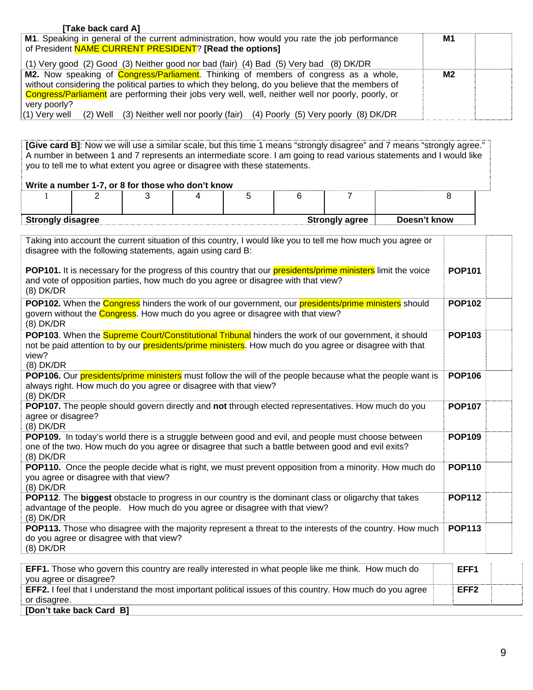| [Take back card A]                                                                                  |    |  |
|-----------------------------------------------------------------------------------------------------|----|--|
| M1. Speaking in general of the current administration, how would you rate the job performance       | M1 |  |
| of President NAME CURRENT PRESIDENT? [Read the options]                                             |    |  |
| (1) Very good (2) Good (3) Neither good nor bad (fair) (4) Bad (5) Very bad (8) DK/DR               |    |  |
| <b>M2.</b> Now speaking of <b>Congress/Parliament</b> . Thinking of members of congress as a whole, | M2 |  |
| without considering the political parties to which they belong, do you believe that the members of  |    |  |
| Congress/Parliament are performing their jobs very well, well, neither well nor poorly, poorly, or  |    |  |
| very poorly?                                                                                        |    |  |
| (1) Very well (2) Well (3) Neither well nor poorly (fair) (4) Poorly (5) Very poorly (8) DK/DR      |    |  |

**[Give card B]**: Now we will use a similar scale, but this time 1 means "strongly disagree" and 7 means "strongly agree." A number in between 1 and 7 represents an intermediate score. I am going to read various statements and I would like you to tell me to what extent you agree or disagree with these statements.

## **Write a number 1-7, or 8 for those who don't know**

| <b>Strongly disagree</b> |  |  |  | <b>Strongly agree</b> | Doesn't know |
|--------------------------|--|--|--|-----------------------|--------------|

| Taking into account the current situation of this country, I would like you to tell me how much you agree or<br>disagree with the following statements, again using card B:                                                                     |                  |  |
|-------------------------------------------------------------------------------------------------------------------------------------------------------------------------------------------------------------------------------------------------|------------------|--|
| <b>POP101.</b> It is necessary for the progress of this country that our <b>presidents/prime ministers</b> limit the voice<br>and vote of opposition parties, how much do you agree or disagree with that view?<br>$(8)$ DK/DR                  | <b>POP101</b>    |  |
| <b>POP102.</b> When the <b>Congress</b> hinders the work of our government, our <b>presidents/prime ministers</b> should<br>govern without the <b>Congress</b> . How much do you agree or disagree with that view?<br>$(8)$ DK/DR               | <b>POP102</b>    |  |
| POP103. When the Supreme Court/Constitutional Tribunal hinders the work of our government, it should<br>not be paid attention to by our <b>presidents/prime ministers</b> . How much do you agree or disagree with that<br>view?<br>$(8)$ DK/DR | <b>POP103</b>    |  |
| POP106. Our presidents/prime ministers must follow the will of the people because what the people want is<br>always right. How much do you agree or disagree with that view?<br>$(8)$ DK/DR                                                     | <b>POP106</b>    |  |
| POP107. The people should govern directly and not through elected representatives. How much do you<br>agree or disagree?<br>$(8)$ DK/DR                                                                                                         | <b>POP107</b>    |  |
| <b>POP109.</b> In today's world there is a struggle between good and evil, and people must choose between<br>one of the two. How much do you agree or disagree that such a battle between good and evil exits?<br>$(8)$ DK/DR                   | <b>POP109</b>    |  |
| <b>POP110.</b> Once the people decide what is right, we must prevent opposition from a minority. How much do<br>you agree or disagree with that view?<br>$(8)$ DK/DR                                                                            | <b>POP110</b>    |  |
| POP112. The biggest obstacle to progress in our country is the dominant class or oligarchy that takes<br>advantage of the people. How much do you agree or disagree with that view?<br>$(8)$ DK/DR                                              | <b>POP112</b>    |  |
| POP113. Those who disagree with the majority represent a threat to the interests of the country. How much<br>do you agree or disagree with that view?<br>$(8)$ DK/DR                                                                            | <b>POP113</b>    |  |
| <b>EFF1.</b> Those who govern this country are really interested in what people like me think. How much do<br>you agree or disagree?                                                                                                            | EFF1             |  |
| <b>FFF2</b> I feel that Lunderstand the most important political issues of this country. How much do you agree                                                                                                                                  | FFF <sub>2</sub> |  |

#### **[Don't take back Card B]**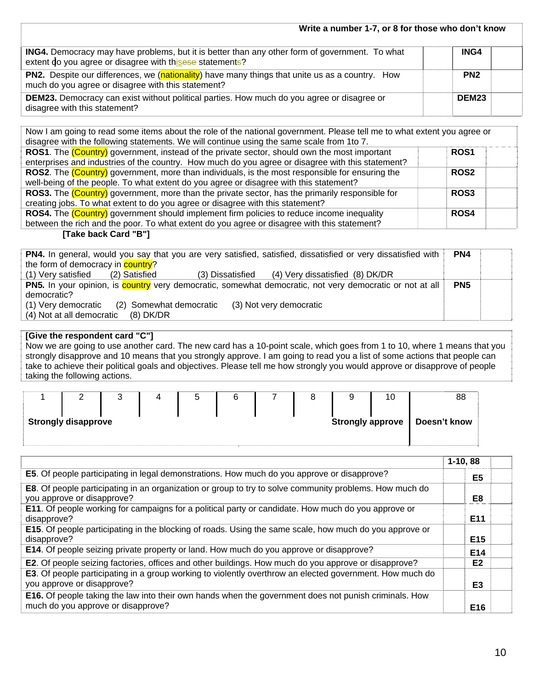| Write a number 1-7, or 8 for those who don't know                                                                                                                 |                   |  |
|-------------------------------------------------------------------------------------------------------------------------------------------------------------------|-------------------|--|
| <b>ING4.</b> Democracy may have problems, but it is better than any other form of government. To what<br>extent do you agree or disagree with thisese statements? | ING4              |  |
| <b>PN2.</b> Despite our differences, we (nationality) have many things that unite us as a country. How<br>much do you agree or disagree with this statement?      | PN <sub>2</sub>   |  |
| <b>DEM23.</b> Democracy can exist without political parties. How much do you agree or disagree or<br>disagree with this statement?                                | DEM <sub>23</sub> |  |

| Now I am going to read some items about the role of the national government. Please tell me to what extent you agree or |             |  |  |  |  |  |  |  |
|-------------------------------------------------------------------------------------------------------------------------|-------------|--|--|--|--|--|--|--|
| disagree with the following statements. We will continue using the same scale from 1to 7.                               |             |  |  |  |  |  |  |  |
| <b>ROS1.</b> The (Country) government, instead of the private sector, should own the most important                     | <b>ROS1</b> |  |  |  |  |  |  |  |
| enterprises and industries of the country. How much do you agree or disagree with this statement?                       |             |  |  |  |  |  |  |  |
| <b>ROS2.</b> The (Country) government, more than individuals, is the most responsible for ensuring the                  | <b>ROS2</b> |  |  |  |  |  |  |  |
| well-being of the people. To what extent do you agree or disagree with this statement?                                  |             |  |  |  |  |  |  |  |
| <b>ROS3.</b> The (Country) government, more than the private sector, has the primarily responsible for                  | <b>ROS3</b> |  |  |  |  |  |  |  |
| creating jobs. To what extent to do you agree or disagree with this statement?                                          |             |  |  |  |  |  |  |  |
| <b>ROS4.</b> The (Country) government should implement firm policies to reduce income inequality                        | <b>ROS4</b> |  |  |  |  |  |  |  |
| between the rich and the poor. To what extent do you agree or disagree with this statement?                             |             |  |  |  |  |  |  |  |
|                                                                                                                         |             |  |  |  |  |  |  |  |

#### **[Take back Card "B"]**

| PN4. In general, would you say that you are very satisfied, satisfied, dissatisfied or very dissatisfied with | PN4             |  |
|---------------------------------------------------------------------------------------------------------------|-----------------|--|
| the form of democracy in <b>country</b> ?                                                                     |                 |  |
| (3) Dissatisfied (4) Very dissatisfied (8) DK/DR<br>(1) Very satisfied<br>(2) Satisfied                       |                 |  |
| PN5. In your opinion, is country very democratic, somewhat democratic, not very democratic or not at all      | PN <sub>5</sub> |  |
| democratic?                                                                                                   |                 |  |
| (2) Somewhat democratic<br>(3) Not very democratic<br>(1) Very democratic                                     |                 |  |
| (4) Not at all democratic<br>(8) DK/DR                                                                        |                 |  |
|                                                                                                               |                 |  |

## **[Give the respondent card "C"]**

Now we are going to use another card. The new card has a 10-point scale, which goes from 1 to 10, where 1 means that you strongly disapprove and 10 means that you strongly approve. I am going to read you a list of some actions that people can take to achieve their political goals and objectives. Please tell me how strongly you would approve or disapprove of people taking the following actions.

|                                                |  |  |  | C |  |  |  |  | 10 | 88           |
|------------------------------------------------|--|--|--|---|--|--|--|--|----|--------------|
| <b>Strongly disapprove</b><br>Strongly approve |  |  |  |   |  |  |  |  |    | Doesn't know |
|                                                |  |  |  |   |  |  |  |  |    |              |

|                                                                                                                                                    | $1-10,88$       |  |
|----------------------------------------------------------------------------------------------------------------------------------------------------|-----------------|--|
| <b>E5.</b> Of people participating in legal demonstrations. How much do you approve or disapprove?                                                 | E5              |  |
| <b>E8.</b> Of people participating in an organization or group to try to solve community problems. How much do<br>you approve or disapprove?       | E8              |  |
| <b>E11.</b> Of people working for campaigns for a political party or candidate. How much do you approve or<br>disapprove?                          | E <sub>11</sub> |  |
| <b>E15.</b> Of people participating in the blocking of roads. Using the same scale, how much do you approve or<br>disapprove?                      | E <sub>15</sub> |  |
| E14. Of people seizing private property or land. How much do you approve or disapprove?                                                            | E <sub>14</sub> |  |
| E2. Of people seizing factories, offices and other buildings. How much do you approve or disapprove?                                               | E <sub>2</sub>  |  |
| E3. Of people participating in a group working to violently overthrow an elected government. How much do<br>you approve or disapprove?             | E <sub>3</sub>  |  |
| <b>E16.</b> Of people taking the law into their own hands when the government does not punish criminals. How<br>much do you approve or disapprove? | E16             |  |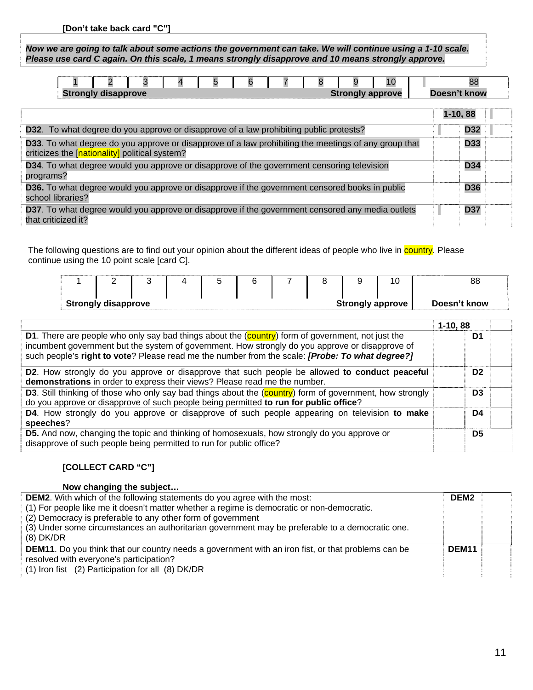*Now we are going to talk about some actions the government can take. We will continue using a 1-10 scale. Please use card C again. On this scale, 1 means strongly disapprove and 10 means strongly approve.* 

|                            |  |  |  |                         |  |              |  | 10 |  |  |
|----------------------------|--|--|--|-------------------------|--|--------------|--|----|--|--|
| <b>Strongly disapprove</b> |  |  |  | <b>Strongly approve</b> |  | Doesn't know |  |    |  |  |

|                                                                                                                                                        |  | $1-10,88$  |  |
|--------------------------------------------------------------------------------------------------------------------------------------------------------|--|------------|--|
| <b>D32.</b> To what degree do you approve or disapprove of a law prohibiting public protests?                                                          |  | <b>D32</b> |  |
| D33. To what degree do you approve or disapprove of a law prohibiting the meetings of any group that<br>criticizes the [nationality] political system? |  | <b>D33</b> |  |
| D34. To what degree would you approve or disapprove of the government censoring television<br>programs?                                                |  | <b>D34</b> |  |
| <b>D36.</b> To what degree would you approve or disapprove if the government censored books in public<br>school libraries?                             |  | <b>D36</b> |  |
| <b>D37</b> . To what degree would you approve or disapprove if the government censored any media outlets<br>that criticized it?                        |  | <b>D37</b> |  |

The following questions are to find out your opinion about the different ideas of people who live in country. Please continue using the 10 point scale [card C].

| $1 \t2 \t3 \t4 \t5 \t6 \t7 \t8 \t9 \t$<br><b>Strongly disapprove</b><br><b>Strongly approve</b>                                                                                                                                                                                                                | 88<br>Doesn't know |
|----------------------------------------------------------------------------------------------------------------------------------------------------------------------------------------------------------------------------------------------------------------------------------------------------------------|--------------------|
|                                                                                                                                                                                                                                                                                                                | $1-10,88$          |
| D1. There are people who only say bad things about the (country) form of government, not just the<br>incumbent government but the system of government. How strongly do you approve or disapprove of<br>such people's right to vote? Please read me the number from the scale: <i>[Probe: To what degree?]</i> | D1                 |
| D2. How strongly do you approve or disapprove that such people be allowed to conduct peaceful<br>demonstrations in order to express their views? Please read me the number.                                                                                                                                    | D <sub>2</sub>     |
| D3. Still thinking of those who only say bad things about the (country) form of government, how strongly<br>do you approve or disapprove of such people being permitted to run for public office?                                                                                                              | D <sub>3</sub>     |
| <b>D4.</b> How strongly do you approve or disapprove of such people appearing on television to make<br>speeches?                                                                                                                                                                                               | D4                 |
| <b>D5.</b> And now, changing the topic and thinking of homosexuals, how strongly do you approve or<br>disapprove of such people being permitted to run for public office?                                                                                                                                      | D <sub>5</sub>     |

## **[COLLECT CARD "C"]**

| Now changing the subject                                                                                  |                   |  |
|-----------------------------------------------------------------------------------------------------------|-------------------|--|
| <b>DEM2.</b> With which of the following statements do you agree with the most:                           | DEM <sub>2</sub>  |  |
| (1) For people like me it doesn't matter whether a regime is democratic or non-democratic.                |                   |  |
| (2) Democracy is preferable to any other form of government                                               |                   |  |
| (3) Under some circumstances an authoritarian government may be preferable to a democratic one.           |                   |  |
| $(8)$ DK/DR                                                                                               |                   |  |
| <b>DEM11.</b> Do you think that our country needs a government with an iron fist, or that problems can be | DEM <sub>11</sub> |  |
| resolved with everyone's participation?                                                                   |                   |  |
| (1) Iron fist (2) Participation for all (8) DK/DR                                                         |                   |  |
|                                                                                                           |                   |  |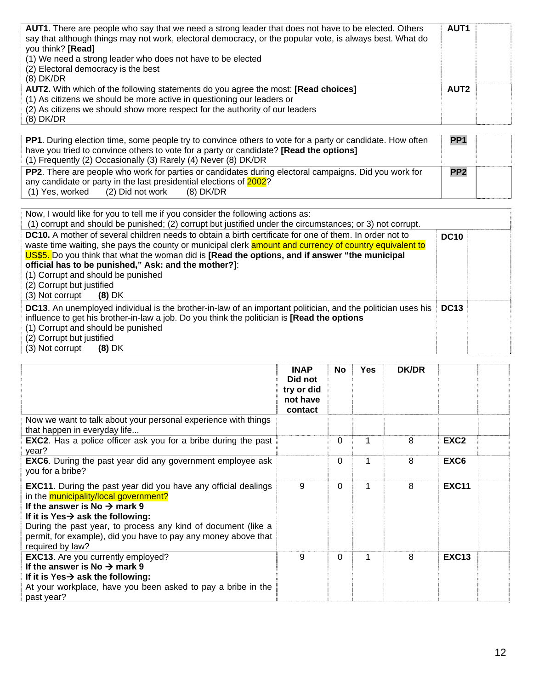| AUT1. There are people who say that we need a strong leader that does not have to be elected. Others<br>say that although things may not work, electoral democracy, or the popular vote, is always best. What do<br>you think? [Read]<br>(1) We need a strong leader who does not have to be elected<br>(2) Electoral democracy is the best<br>$(8)$ DK/DR | AUT <sub>1</sub> |  |
|------------------------------------------------------------------------------------------------------------------------------------------------------------------------------------------------------------------------------------------------------------------------------------------------------------------------------------------------------------|------------------|--|
| AUT2. With which of the following statements do you agree the most: [Read choices]<br>(1) As citizens we should be more active in questioning our leaders or<br>(2) As citizens we should show more respect for the authority of our leaders<br>$(8)$ DK/DR                                                                                                | AUT <sub>2</sub> |  |

| <b>PP1.</b> During election time, some people try to convince others to vote for a party or candidate. How often |                 |  |  |  |
|------------------------------------------------------------------------------------------------------------------|-----------------|--|--|--|
| have you tried to convince others to vote for a party or candidate? [Read the options]                           |                 |  |  |  |
| (1) Frequently (2) Occasionally (3) Rarely (4) Never (8) DK/DR                                                   |                 |  |  |  |
| <b>PP2</b> . There are people who work for parties or candidates during electoral campaigns. Did you work for    | PP <sub>2</sub> |  |  |  |
| any candidate or party in the last presidential elections of 2002?                                               |                 |  |  |  |
| (1) Yes, worked (2) Did not work<br>(8) DK/DR                                                                    |                 |  |  |  |

| Now, I would like for you to tell me if you consider the following actions as:<br>(1) corrupt and should be punished; (2) corrupt but justified under the circumstances; or 3) not corrupt.                                                                                                                                                                                                                                                                                           |             |  |
|---------------------------------------------------------------------------------------------------------------------------------------------------------------------------------------------------------------------------------------------------------------------------------------------------------------------------------------------------------------------------------------------------------------------------------------------------------------------------------------|-------------|--|
| <b>DC10.</b> A mother of several children needs to obtain a birth certificate for one of them. In order not to<br>waste time waiting, she pays the county or municipal clerk amount and currency of country equivalent to<br>US\$5. Do you think that what the woman did is [Read the options, and if answer "the municipal<br>official has to be punished," Ask: and the mother?]:<br>(1) Corrupt and should be punished<br>(2) Corrupt but justified<br>(3) Not corrupt<br>$(8)$ DK | <b>DC10</b> |  |
| DC13. An unemployed individual is the brother-in-law of an important politician, and the politician uses his<br>influence to get his brother-in-law a job. Do you think the politician is [Read the options<br>(1) Corrupt and should be punished<br>(2) Corrupt but justified<br>(3) Not corrupt<br>$(8)$ DK                                                                                                                                                                         | <b>DC13</b> |  |

|                                                                                                                                                                                                                                                                                                                                                                    | <b>INAP</b><br>Did not<br>try or did<br>not have<br>contact | <b>No</b> | <b>Yes</b> | <b>DK/DR</b> |                  |  |
|--------------------------------------------------------------------------------------------------------------------------------------------------------------------------------------------------------------------------------------------------------------------------------------------------------------------------------------------------------------------|-------------------------------------------------------------|-----------|------------|--------------|------------------|--|
| Now we want to talk about your personal experience with things<br>that happen in everyday life                                                                                                                                                                                                                                                                     |                                                             |           |            |              |                  |  |
| <b>EXC2.</b> Has a police officer ask you for a bribe during the past<br>year?                                                                                                                                                                                                                                                                                     |                                                             | $\Omega$  |            | 8            | EXC <sub>2</sub> |  |
| <b>EXC6.</b> During the past year did any government employee ask<br>you for a bribe?                                                                                                                                                                                                                                                                              |                                                             | 0         | 1          | 8            | EXC <sub>6</sub> |  |
| <b>EXC11.</b> During the past year did you have any official dealings<br>in the municipality/local government?<br>If the answer is No $\rightarrow$ mark 9<br>If it is Yes $\rightarrow$ ask the following:<br>During the past year, to process any kind of document (like a<br>permit, for example), did you have to pay any money above that<br>required by law? | 9                                                           | $\Omega$  |            | 8            | <b>EXC11</b>     |  |
| <b>EXC13.</b> Are you currently employed?<br>If the answer is No $\rightarrow$ mark 9<br>If it is $Yes \rightarrow ask$ the following:<br>At your workplace, have you been asked to pay a bribe in the<br>past year?                                                                                                                                               | 9                                                           | $\Omega$  | 1          | 8            | <b>EXC13</b>     |  |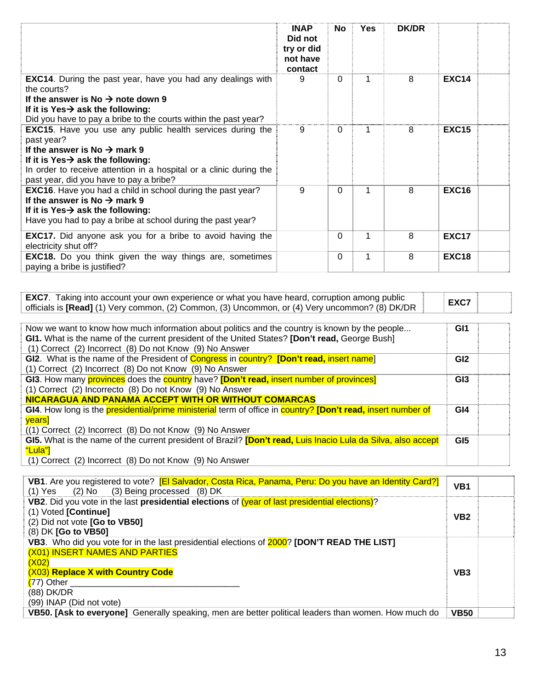|                                                                                                                                                                                                                                                                                              | <b>INAP</b><br>Did not<br>try or did<br>not have<br>contact | No       | <b>Yes</b> | <b>DK/DR</b> |              |  |
|----------------------------------------------------------------------------------------------------------------------------------------------------------------------------------------------------------------------------------------------------------------------------------------------|-------------------------------------------------------------|----------|------------|--------------|--------------|--|
| <b>EXC14.</b> During the past year, have you had any dealings with<br>the courts?<br>If the answer is No $\rightarrow$ note down 9<br>If it is Yes $\rightarrow$ ask the following:<br>Did you have to pay a bribe to the courts within the past year?                                       | 9                                                           | 0        |            | 8            | <b>EXC14</b> |  |
| <b>EXC15.</b> Have you use any public health services during the<br>past year?<br>If the answer is No $\rightarrow$ mark 9<br>If it is Yes $\rightarrow$ ask the following:<br>In order to receive attention in a hospital or a clinic during the<br>past year, did you have to pay a bribe? | 9                                                           | 0        |            | 8            | <b>EXC15</b> |  |
| <b>EXC16.</b> Have you had a child in school during the past year?<br>If the answer is No $\rightarrow$ mark 9<br>If it is Yes $\rightarrow$ ask the following:<br>Have you had to pay a bribe at school during the past year?                                                               | 9                                                           | $\Omega$ |            | 8            | <b>EXC16</b> |  |
| <b>EXC17.</b> Did anyone ask you for a bribe to avoid having the<br>electricity shut off?                                                                                                                                                                                                    |                                                             | 0        |            | 8            | <b>EXC17</b> |  |
| <b>EXC18.</b> Do you think given the way things are, sometimes<br>paying a bribe is justified?                                                                                                                                                                                               |                                                             | $\Omega$ |            | 8            | <b>EXC18</b> |  |

| <b>EXC7.</b> Taking into account your own experience or what you have heard, corruption among public<br>officials is [Read] (1) Very common, (2) Common, (3) Uncommon, or (4) Very uncommon? (8) DK/DR                                                      | EXC7            |  |
|-------------------------------------------------------------------------------------------------------------------------------------------------------------------------------------------------------------------------------------------------------------|-----------------|--|
| Now we want to know how much information about politics and the country is known by the people<br>GI1. What is the name of the current president of the United States? [Don't read, George Bush]<br>(1) Correct (2) Incorrect (8) Do not Know (9) No Answer | GI <sub>1</sub> |  |
| GI2. What is the name of the President of Congress in country? [Don't read, insert name]<br>(1) Correct (2) Incorrect (8) Do not Know (9) No Answer                                                                                                         | GI <sub>2</sub> |  |
| GI3. How many provinces does the country have? [Don't read, insert number of provinces]                                                                                                                                                                     | GI3             |  |

| (1) Correct (2) Incorrecto (8) Do not Know (9) No Answer                                                      |                 |  |
|---------------------------------------------------------------------------------------------------------------|-----------------|--|
| NICARAGUA AND PANAMA ACCEPT WITH OR WITHOUT COMARCAS                                                          |                 |  |
| GI4. How long is the presidential/prime ministerial term of office in country? [Don't read, insert number of  | GI4             |  |
| <b>vears</b>                                                                                                  |                 |  |
| $((1)$ Correct $(2)$ Incorrect $(8)$ Do not Know $(9)$ No Answer                                              |                 |  |
| GI5. What is the name of the current president of Brazil? [Don't read, Luis Inacio Lula da Silva, also accept | GI <sub>5</sub> |  |
| "Lula"]                                                                                                       |                 |  |

(1) Correct (2) Incorrect (8) Do not Know (9) No Answer

| VB1. Are you registered to vote? [El Salvador, Costa Rica, Panama, Peru: Do you have an Identity Card?]<br>$(1)$ Yes $(2)$ No $(3)$ Being processed $(8)$ DK | VB <sub>1</sub> |  |
|--------------------------------------------------------------------------------------------------------------------------------------------------------------|-----------------|--|
| VB2. Did you vote in the last presidential elections of (year of last presidential elections)?                                                               |                 |  |
| $(1)$ Voted [Continue]                                                                                                                                       | VB <sub>2</sub> |  |
| (2) Did not vote [Go to VB50]                                                                                                                                |                 |  |
| (8) DK [Go to VB50]                                                                                                                                          |                 |  |
| VB3. Who did you vote for in the last presidential elections of 2000? [DON'T READ THE LIST]                                                                  |                 |  |
| (X01) INSERT NAMES AND PARTIES                                                                                                                               |                 |  |
| (X02)                                                                                                                                                        |                 |  |
| (X03) Replace X with Country Code                                                                                                                            | VB <sub>3</sub> |  |
| $(77)$ Other                                                                                                                                                 |                 |  |
| (88) DK/DR                                                                                                                                                   |                 |  |
| (99) INAP (Did not vote)                                                                                                                                     |                 |  |
| VB50. [Ask to everyone] Generally speaking, men are better political leaders than women. How much do                                                         | <b>VB50</b>     |  |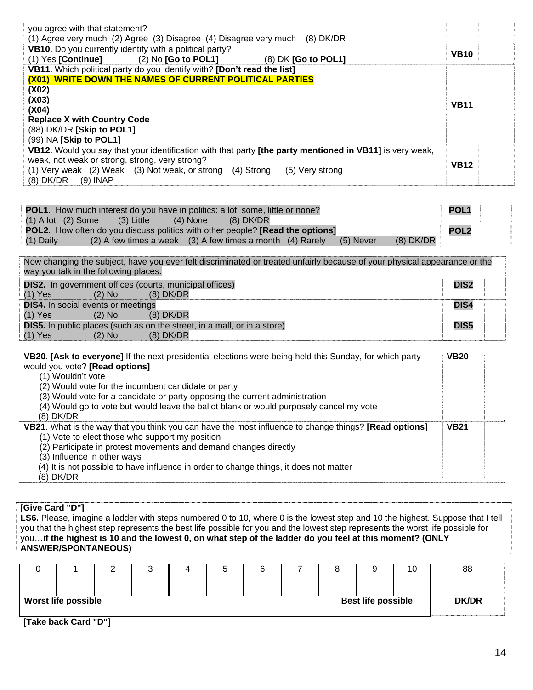| you agree with that statement?<br>(1) Agree very much (2) Agree (3) Disagree (4) Disagree very much (8) DK/DR |             |  |
|---------------------------------------------------------------------------------------------------------------|-------------|--|
| VB10. Do you currently identify with a political party?                                                       | <b>VB10</b> |  |
| $(1)$ Yes [Continue] $(2)$ No [Go to POL1]<br>$(8)$ DK $[Go$ to POL1]                                         |             |  |
| VB11. Which political party do you identify with? [Don't read the list]                                       |             |  |
| (X01) WRITE DOWN THE NAMES OF CURRENT POLITICAL PARTIES                                                       |             |  |
| (X02)                                                                                                         |             |  |
| (X03)                                                                                                         | <b>VB11</b> |  |
| (X04)                                                                                                         |             |  |
| <b>Replace X with Country Code</b>                                                                            |             |  |
| (88) DK/DR [Skip to POL1]                                                                                     |             |  |
| (99) NA [Skip to POL1]                                                                                        |             |  |
| VB12. Would you say that your identification with that party [the party mentioned in VB11] is very weak,      |             |  |
| weak, not weak or strong, strong, very strong?                                                                | <b>VB12</b> |  |
| (1) Very weak (2) Weak (3) Not weak, or strong (4) Strong<br>(5) Very strong                                  |             |  |
| (8) DK/DR<br>$(9)$ INAP                                                                                       |             |  |

| <b>POL1.</b> How much interest do you have in politics: a lot, some, little or none? |                                                                                             |            |           |  | <b>POL1</b> |             |             |  |
|--------------------------------------------------------------------------------------|---------------------------------------------------------------------------------------------|------------|-----------|--|-------------|-------------|-------------|--|
| $(1)$ A lot $(2)$ Some                                                               | (3) Little                                                                                  | $(4)$ None | (8) DK/DR |  |             |             |             |  |
|                                                                                      | <b>POL2.</b> How often do you discuss politics with other people? <b>[Read the options]</b> |            |           |  |             |             | <b>POL2</b> |  |
| (1) Daily                                                                            | $(2)$ A few times a week $(3)$ A few times a month $(4)$ Rarely                             |            |           |  | $(5)$ Never | $(8)$ DK/DR |             |  |

Now changing the subject, have you ever felt discriminated or treated unfairly because of your physical appearance or the way you talk in the following places: **DIS2.** In government offices (courts, municipal offices)<br>(1) Yes (2) No (8) DK/DR  $(2)$  No  $(8)$  DK/DR **DIS2 DIS4.** In social events or meetings<br>(1) Yes (2) No (8  $(2)$  No  $(8)$  DK/DR **DIS4 DIS5.** In public places (such as on the street, in a mall, or in a store)<br>(1) Yes (2) No (8) DK/DR **DIS5** 

(8) DK/DR

| VB20. [Ask to everyone] If the next presidential elections were being held this Sunday, for which party      | <b>VB20</b> |  |
|--------------------------------------------------------------------------------------------------------------|-------------|--|
| would you vote? [Read options]                                                                               |             |  |
| (1) Wouldn't vote                                                                                            |             |  |
| (2) Would vote for the incumbent candidate or party                                                          |             |  |
| (3) Would vote for a candidate or party opposing the current administration                                  |             |  |
| (4) Would go to vote but would leave the ballot blank or would purposely cancel my vote                      |             |  |
| $(8)$ DK/DR                                                                                                  |             |  |
| <b>VB21.</b> What is the way that you think you can have the most influence to change things? [Read options] | <b>VB21</b> |  |
| (1) Vote to elect those who support my position                                                              |             |  |
| (2) Participate in protest movements and demand changes directly                                             |             |  |
| (3) Influence in other ways                                                                                  |             |  |
| (4) It is not possible to have influence in order to change things, it does not matter                       |             |  |
| $(8)$ DK/DR                                                                                                  |             |  |

## **[Give Card "D"]**

**LS6.** Please, imagine a ladder with steps numbered 0 to 10, where 0 is the lowest step and 10 the highest. Suppose that I tell you that the highest step represents the best life possible for you and the lowest step represents the worst life possible for you…**if the highest is 10 and the lowest 0, on what step of the ladder do you feel at this moment? (ONLY ANSWER/SPONTANEOUS)**

|                            |  | ມ |  |                           | 10 | 88           |
|----------------------------|--|---|--|---------------------------|----|--------------|
|                            |  |   |  |                           |    |              |
| <b>Worst life possible</b> |  |   |  | <b>Best life possible</b> |    | <b>DK/DR</b> |
|                            |  |   |  |                           |    |              |

**[Take back Card "D"]**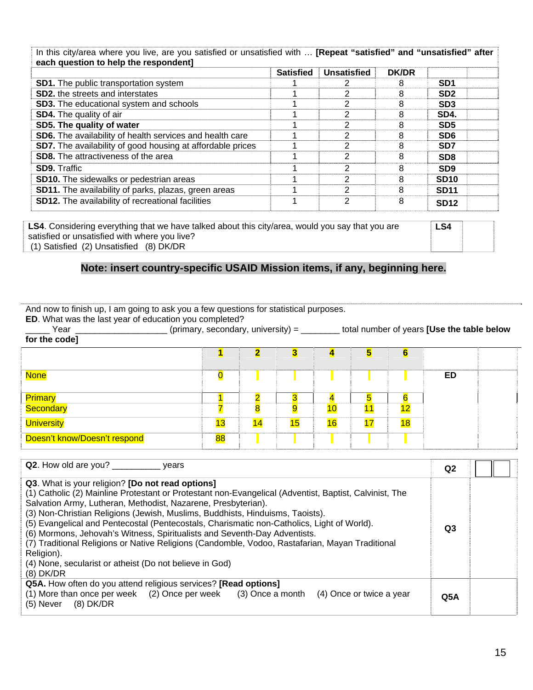In this city/area where you live, are you satisfied or unsatisfied with … **[Repeat "satisfied" and "unsatisfied" after each question to help the respondent]**

| each question to help the respondent                              | <b>Satisfied</b> | <b>Unsatisfied</b> | <b>DK/DR</b> |                 |  |
|-------------------------------------------------------------------|------------------|--------------------|--------------|-----------------|--|
| <b>SD1.</b> The public transportation system                      |                  |                    | 8            | SD <sub>1</sub> |  |
| <b>SD2.</b> the streets and interstates                           |                  | 2                  | 8            | SD <sub>2</sub> |  |
| <b>SD3.</b> The educational system and schools                    |                  | っ                  | 8            | SD <sub>3</sub> |  |
| <b>SD4.</b> The quality of air                                    |                  | 2                  |              | SD4.            |  |
| SD5. The quality of water                                         |                  | າ                  |              | SD <sub>5</sub> |  |
| SD6. The availability of health services and health care          |                  | 2                  | 8            | SD <sub>6</sub> |  |
| <b>SD7.</b> The availability of good housing at affordable prices |                  | າ                  | 8            | <b>SD7</b>      |  |
| <b>SD8.</b> The attractiveness of the area                        |                  | 2                  | 8            | SD <sub>8</sub> |  |
| <b>SD9. Traffic</b>                                               |                  | 2                  | 8            | SD <sub>9</sub> |  |
| <b>SD10.</b> The sidewalks or pedestrian areas                    |                  | 2                  | 8            | <b>SD10</b>     |  |
| SD11. The availability of parks, plazas, green areas              |                  | 2                  | 8            | <b>SD11</b>     |  |
| <b>SD12.</b> The availability of recreational facilities          |                  | 2                  | 8            | <b>SD12</b>     |  |

**LS4**. Considering everything that we have talked about this city/area, would you say that you are satisfied or unsatisfied with where you live? (1) Satisfied (2) Unsatisfied (8) DK/DR **LS4** 

## **Note: insert country-specific USAID Mission items, if any, beginning here.**

And now to finish up, I am going to ask you a few questions for statistical purposes.

**ED**. What was the last year of education you completed?

\_\_\_\_\_ Year \_\_\_\_\_\_\_\_\_\_\_\_\_\_\_\_\_\_\_ (primary, secondary, university) = \_\_\_\_\_\_\_\_ total number of years **[Use the table below for the code]**

| <b>None</b>                                    |    |                         |    |    |    |    | <b>ED</b> |  |
|------------------------------------------------|----|-------------------------|----|----|----|----|-----------|--|
|                                                |    | ----------------------- |    |    |    |    |           |  |
| <mark>Primary</mark><br><mark>Secondary</mark> |    |                         |    |    | 11 | 12 |           |  |
| <b>University</b>                              | 13 |                         | 15 | 16 | 17 | 18 |           |  |
| Doesn't know/Doesn't respond                   | 88 |                         |    |    |    |    |           |  |

| Q2. How old are you? _________<br>vears                                                                                                                                                                                                                                                                                                                                                                                                                                                                                                                                                                                                                                            | Q2  |  |
|------------------------------------------------------------------------------------------------------------------------------------------------------------------------------------------------------------------------------------------------------------------------------------------------------------------------------------------------------------------------------------------------------------------------------------------------------------------------------------------------------------------------------------------------------------------------------------------------------------------------------------------------------------------------------------|-----|--|
| Q3. What is your religion? [Do not read options]<br>(1) Catholic (2) Mainline Protestant or Protestant non-Evangelical (Adventist, Baptist, Calvinist, The<br>Salvation Army, Lutheran, Methodist, Nazarene, Presbyterian).<br>(3) Non-Christian Religions (Jewish, Muslims, Buddhists, Hinduisms, Taoists).<br>(5) Evangelical and Pentecostal (Pentecostals, Charismatic non-Catholics, Light of World).<br>(6) Mormons, Jehovah's Witness, Spiritualists and Seventh-Day Adventists.<br>(7) Traditional Religions or Native Religions (Candomble, Vodoo, Rastafarian, Mayan Traditional<br>Religion).<br>(4) None, secularist or atheist (Do not believe in God)<br>$(8)$ DK/DR | Q3  |  |
| Q5A. How often do you attend religious services? [Read options]<br>(1) More than once per week (2) Once per week (3) Once a month (4) Once or twice a year<br>$(8)$ DK/DR<br>(5) Never                                                                                                                                                                                                                                                                                                                                                                                                                                                                                             | Q5A |  |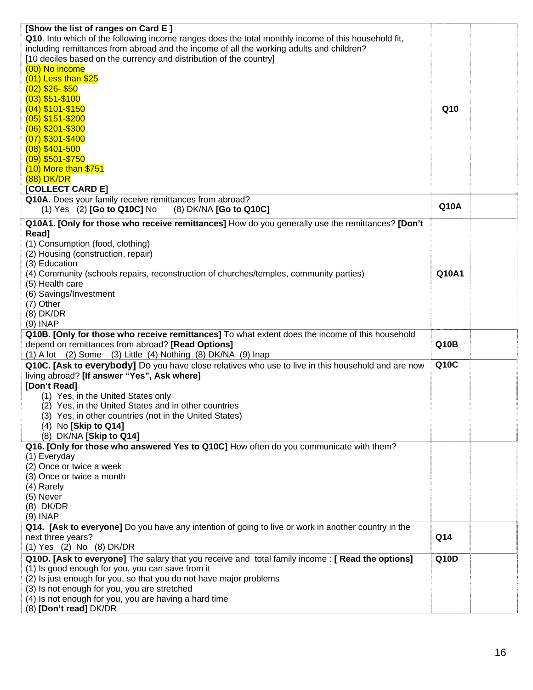| [Show the list of ranges on Card E]<br>Q10. Into which of the following income ranges does the total monthly income of this household fit,<br>including remittances from abroad and the income of all the working adults and children?<br>[10 deciles based on the currency and distribution of the country]<br>(00) No income<br>$(01)$ Less than \$25<br>$(02)$ \$26-\$50<br>$(03)$ \$51-\$100<br>$(04)$ \$101-\$150<br>$(05)$ \$151-\$200<br>$(06)$ \$201-\$300<br>$(07)$ \$301-\$400<br>$(08)$ \$401-500 | Q10         |  |
|--------------------------------------------------------------------------------------------------------------------------------------------------------------------------------------------------------------------------------------------------------------------------------------------------------------------------------------------------------------------------------------------------------------------------------------------------------------------------------------------------------------|-------------|--|
| $(09)$ \$501-\$750<br>$(10)$ More than \$751<br><b>(88) DK/DR</b><br>[COLLECT CARD E]<br>Q10A. Does your family receive remittances from abroad?<br>$(1)$ Yes $(2)$ [Go to Q10C] No<br>(8) DK/NA [Go to Q10C]                                                                                                                                                                                                                                                                                                | <b>Q10A</b> |  |
| Q10A1. [Only for those who receive remittances] How do you generally use the remittances? [Don't                                                                                                                                                                                                                                                                                                                                                                                                             |             |  |
| Read]<br>(1) Consumption (food, clothing)<br>(2) Housing (construction, repair)<br>(3) Education<br>(4) Community (schools repairs, reconstruction of churches/temples, community parties)<br>(5) Health care<br>(6) Savings/Investment<br>(7) Other<br>$(8)$ DK/DR<br>$(9)$ INAP                                                                                                                                                                                                                            | Q10A1       |  |
| Q10B. [Only for those who receive remittances] To what extent does the income of this household<br>depend on remittances from abroad? [Read Options]<br>$(1)$ A lot $(2)$ Some $(3)$ Little $(4)$ Nothing $(8)$ DK/NA $(9)$ Inap                                                                                                                                                                                                                                                                             | Q10B        |  |
| Q10C. [Ask to everybody] Do you have close relatives who use to live in this household and are now<br>living abroad? [If answer "Yes", Ask where]<br>[Don't Read]<br>(1) Yes, in the United States only<br>(2) Yes, in the United States and in other countries<br>(3) Yes, in other countries (not in the United States)<br>(4) No [Skip to Q14]<br>(8) DK/NA [Skip to Q14]                                                                                                                                 | Q10C        |  |
| Q16. [Only for those who answered Yes to Q10C] How often do you communicate with them?<br>(1) Everyday<br>(2) Once or twice a week<br>(3) Once or twice a month<br>(4) Rarely<br>(5) Never<br>(8) DK/DR<br>$(9)$ INAP                                                                                                                                                                                                                                                                                        |             |  |
| Q14. [Ask to everyone] Do you have any intention of going to live or work in another country in the<br>next three years?<br>(1) Yes (2) No (8) DK/DR                                                                                                                                                                                                                                                                                                                                                         | Q14         |  |
| Q10D. [Ask to everyone] The salary that you receive and total family income: [ Read the options]<br>(1) Is good enough for you, you can save from it<br>(2) Is just enough for you, so that you do not have major problems<br>(3) Is not enough for you, you are stretched<br>(4) Is not enough for you, you are having a hard time<br>(8) [Don't read] DK/DR                                                                                                                                                | Q10D        |  |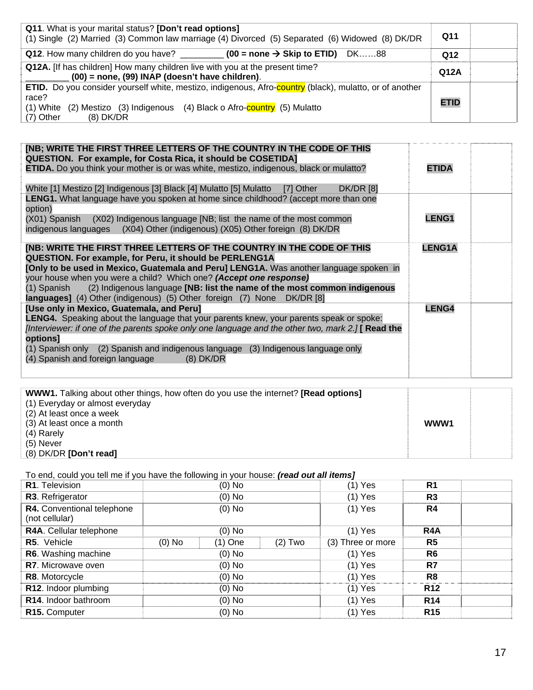| Q11. What is your marital status? [Don't read options]<br>(1) Single (2) Married (3) Common law marriage (4) Divorced (5) Separated (6) Widowed (8) DK/DR                                                                             |             |  |
|---------------------------------------------------------------------------------------------------------------------------------------------------------------------------------------------------------------------------------------|-------------|--|
| Q12. How many children do you have? ____________ (00 = none $\rightarrow$ Skip to ETID) DK88                                                                                                                                          | Q12         |  |
| Q12A. [If has children] How many children live with you at the present time?<br>$(00)$ = none, (99) INAP (doesn't have children).                                                                                                     | Q12A        |  |
| <b>ETID.</b> Do you consider yourself white, mestizo, indigenous, Afro-country (black), mulatto, or of another<br>race?<br>(2) Mestizo (3) Indigenous (4) Black o Afro-country (5) Mulatto<br>$(1)$ White<br>$(8)$ DK/DR<br>(7) Other | <b>ETID</b> |  |

| [NB; WRITE THE FIRST THREE LETTERS OF THE COUNTRY IN THE CODE OF THIS<br>QUESTION. For example, for Costa Rica, it should be COSETIDA]<br><b>ETIDA.</b> Do you think your mother is or was white, mestizo, indigenous, black or mulatto?<br><b>DK/DR [8]</b><br>White [1] Mestizo [2] Indigenous [3] Black [4] Mulatto [5] Mulatto<br>[7] Other                                                                                                                           | <b>ETIDA</b>  |  |
|---------------------------------------------------------------------------------------------------------------------------------------------------------------------------------------------------------------------------------------------------------------------------------------------------------------------------------------------------------------------------------------------------------------------------------------------------------------------------|---------------|--|
| <b>LENG1.</b> What language have you spoken at home since childhood? (accept more than one<br>option)<br>(X01) Spanish (X02) Indigenous language [NB; list the name of the most common<br>indigenous languages (X04) Other (indigenous) (X05) Other foreign (8) DK/DR                                                                                                                                                                                                     | LENG1         |  |
| [NB: WRITE THE FIRST THREE LETTERS OF THE COUNTRY IN THE CODE OF THIS<br>QUESTION. For example, for Peru, it should be PERLENG1A<br>[Only to be used in Mexico, Guatemala and Peru] LENG1A. Was another language spoken in<br>your house when you were a child? Which one? (Accept one response)<br>(1) Spanish (2) Indigenous language [NB: list the name of the most common indigenous<br><b>languages]</b> (4) Other (indigenous) (5) Other foreign (7) None DK/DR [8] | <b>LENG1A</b> |  |
| [Use only in Mexico, Guatemala, and Peru]<br>LENG4. Speaking about the language that your parents knew, your parents speak or spoke:<br>[Interviewer: if one of the parents spoke only one language and the other two, mark $2.$ ] [Read the<br>options]<br>(1) Spanish only (2) Spanish and indigenous language (3) Indigenous language only<br>(4) Spanish and foreign language (8) DK/DR                                                                               | <b>LENG4</b>  |  |

| <b>WWW1.</b> Talking about other things, how often do you use the internet? <b>[Read options]</b> |      |  |
|---------------------------------------------------------------------------------------------------|------|--|
| (1) Everyday or almost everyday                                                                   |      |  |
| (2) At least once a week                                                                          |      |  |
| (3) At least once a month                                                                         | WWW1 |  |
| (4) Rarely                                                                                        |      |  |
| (5) Never                                                                                         |      |  |
| (8) DK/DR [Don't read]                                                                            |      |  |

To end, could you tell me if you have the following in your house: *(read out all items]*

| R1. Television                               | $(0)$ No                       | $(1)$ Yes         | R <sub>1</sub>   |  |
|----------------------------------------------|--------------------------------|-------------------|------------------|--|
| R3. Refrigerator                             | $(0)$ No                       | $(1)$ Yes         | R <sub>3</sub>   |  |
| R4. Conventional telephone<br>(not cellular) | $(0)$ No                       | $(1)$ Yes         | R4               |  |
| R4A. Cellular telephone                      | $(0)$ No                       | $(1)$ Yes         | R <sub>4</sub> A |  |
| R5. Vehicle                                  | (0) No<br>$(2)$ Two<br>(1) One | (3) Three or more | R <sub>5</sub>   |  |
| R6. Washing machine                          | $(0)$ No                       | $(1)$ Yes         | R <sub>6</sub>   |  |
| R7. Microwave oven                           | $(0)$ No                       | $(1)$ Yes         | R7               |  |
| R8. Motorcycle                               | $(0)$ No                       | $(1)$ Yes         | R <sub>8</sub>   |  |
| R12. Indoor plumbing                         | $(0)$ No                       | $(1)$ Yes         | <b>R12</b>       |  |
| R14. Indoor bathroom                         | $(0)$ No                       | $(1)$ Yes         | <b>R14</b>       |  |
| R <sub>15</sub> . Computer                   | $(0)$ No                       | $(1)$ Yes         | <b>R15</b>       |  |
|                                              |                                |                   |                  |  |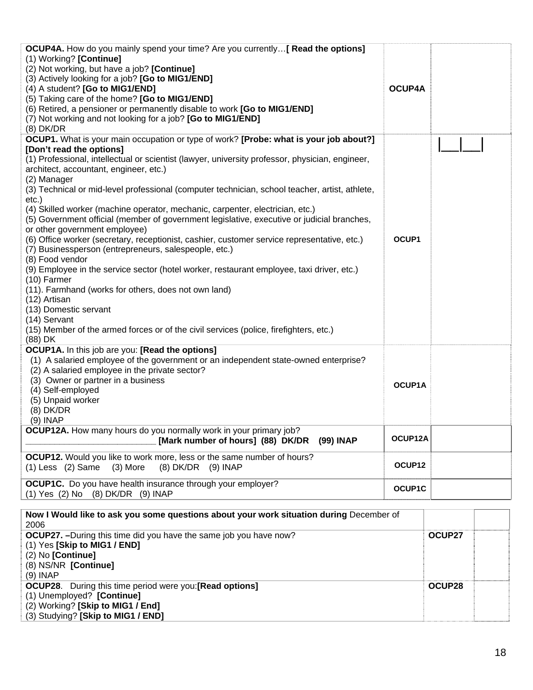| <b>OCUP4A.</b> How do you mainly spend your time? Are you currently [ Read the options]<br>(1) Working? [Continue]<br>(2) Not working, but have a job? [Continue]<br>(3) Actively looking for a job? [Go to MIG1/END] |               |        |  |
|-----------------------------------------------------------------------------------------------------------------------------------------------------------------------------------------------------------------------|---------------|--------|--|
|                                                                                                                                                                                                                       | <b>OCUP4A</b> |        |  |
| (4) A student? [Go to MIG1/END]                                                                                                                                                                                       |               |        |  |
| (5) Taking care of the home? [Go to MIG1/END]<br>(6) Retired, a pensioner or permanently disable to work [Go to MIG1/END]                                                                                             |               |        |  |
|                                                                                                                                                                                                                       |               |        |  |
| (7) Not working and not looking for a job? [Go to MIG1/END]<br>$(8)$ DK/DR                                                                                                                                            |               |        |  |
|                                                                                                                                                                                                                       |               |        |  |
| <b>OCUP1.</b> What is your main occupation or type of work? [Probe: what is your job about?]                                                                                                                          |               |        |  |
| [Don't read the options]<br>(1) Professional, intellectual or scientist (lawyer, university professor, physician, engineer,                                                                                           |               |        |  |
| architect, accountant, engineer, etc.)<br>(2) Manager                                                                                                                                                                 |               |        |  |
| (3) Technical or mid-level professional (computer technician, school teacher, artist, athlete,<br>$etc.$ )                                                                                                            |               |        |  |
| (4) Skilled worker (machine operator, mechanic, carpenter, electrician, etc.)<br>(5) Government official (member of government legislative, executive or judicial branches,                                           |               |        |  |
| or other government employee)                                                                                                                                                                                         | OCUP1         |        |  |
| (6) Office worker (secretary, receptionist, cashier, customer service representative, etc.)<br>(7) Businessperson (entrepreneurs, salespeople, etc.)<br>(8) Food vendor                                               |               |        |  |
| (9) Employee in the service sector (hotel worker, restaurant employee, taxi driver, etc.)                                                                                                                             |               |        |  |
| $(10)$ Farmer                                                                                                                                                                                                         |               |        |  |
| (11). Farmhand (works for others, does not own land)                                                                                                                                                                  |               |        |  |
| (12) Artisan                                                                                                                                                                                                          |               |        |  |
| (13) Domestic servant                                                                                                                                                                                                 |               |        |  |
| (14) Servant                                                                                                                                                                                                          |               |        |  |
| (15) Member of the armed forces or of the civil services (police, firefighters, etc.)<br>(88) DK                                                                                                                      |               |        |  |
| OCUP1A. In this job are you: [Read the options]<br>(1) A salaried employee of the government or an independent state-owned enterprise?<br>(2) A salaried employee in the private sector?                              |               |        |  |
| (3) Owner or partner in a business                                                                                                                                                                                    | OCUP1A        |        |  |
| (4) Self-employed                                                                                                                                                                                                     |               |        |  |
| (5) Unpaid worker                                                                                                                                                                                                     |               |        |  |
| $(8)$ DK/DR                                                                                                                                                                                                           |               |        |  |
| (9) INAP                                                                                                                                                                                                              |               |        |  |
| <b>OCUP12A.</b> How many hours do you normally work in your primary job?<br>[Mark number of hours] (88) DK/DR (99) INAP                                                                                               | OCUP12A       |        |  |
| <b>OCUP12.</b> Would you like to work more, less or the same number of hours?                                                                                                                                         |               |        |  |
| $(1)$ Less $(2)$ Same<br>$(3)$ More<br>$(8)$ DK/DR $(9)$ INAP                                                                                                                                                         | OCUP12        |        |  |
| <b>OCUP1C.</b> Do you have health insurance through your employer?                                                                                                                                                    | <b>OCUP1C</b> |        |  |
| (1) Yes (2) No (8) DK/DR (9) INAP                                                                                                                                                                                     |               |        |  |
| Now I Would like to ask you some questions about your work situation during December of                                                                                                                               |               |        |  |
| 2006                                                                                                                                                                                                                  |               |        |  |
| OCUP27. - During this time did you have the same job you have now?                                                                                                                                                    |               | OCUP27 |  |
| (1) Yes [Skip to MIG1 / END]                                                                                                                                                                                          |               |        |  |
| (2) No [Continue]                                                                                                                                                                                                     |               |        |  |
| (8) NS/NR [Continue]                                                                                                                                                                                                  |               |        |  |
| $(9)$ INAP                                                                                                                                                                                                            |               |        |  |
| <b>OCUP28.</b> During this time period were you: [Read options]<br>(1) Unemployed? [Continue]                                                                                                                         |               | OCUP28 |  |

(2) Working? **[Skip to MIG1 / End]** 

(3) Studying? **[Skip to MIG1 / END]**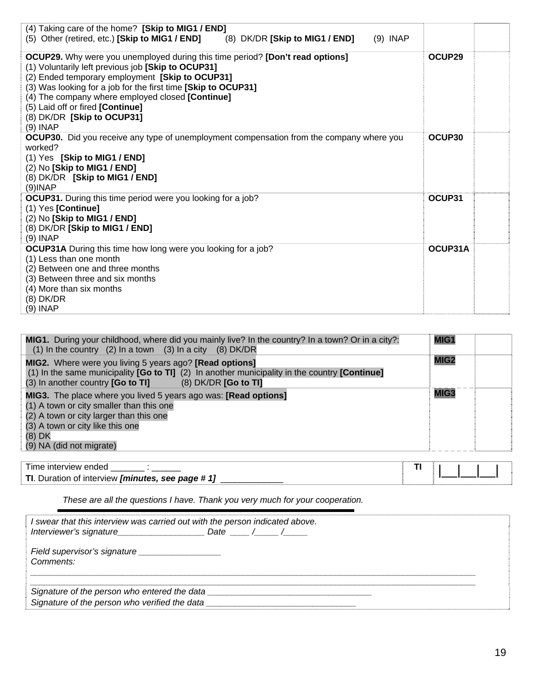| (4) Taking care of the home? [Skip to MIG1 / END]<br>(5) Other (retired, etc.) [Skip to MIG1 / END]<br>(8) DK/DR [Skip to MIG1 / END]<br>$(9)$ INAP |         |  |
|-----------------------------------------------------------------------------------------------------------------------------------------------------|---------|--|
|                                                                                                                                                     |         |  |
| <b>OCUP29.</b> Why were you unemployed during this time period? [Don't read options]                                                                | OCUP29  |  |
| (1) Voluntarily left previous job [Skip to OCUP31]                                                                                                  |         |  |
| (2) Ended temporary employment [Skip to OCUP31]                                                                                                     |         |  |
| (3) Was looking for a job for the first time [Skip to OCUP31]                                                                                       |         |  |
| (4) The company where employed closed [Continue]                                                                                                    |         |  |
| (5) Laid off or fired [Continue]                                                                                                                    |         |  |
| (8) DK/DR [Skip to OCUP31]                                                                                                                          |         |  |
| $(9)$ INAP                                                                                                                                          |         |  |
| <b>OCUP30.</b> Did you receive any type of unemployment compensation from the company where you                                                     | OCUP30  |  |
| worked?                                                                                                                                             |         |  |
| (1) Yes [Skip to MIG1 / END]                                                                                                                        |         |  |
| (2) No [Skip to MIG1 / END]                                                                                                                         |         |  |
| (8) DK/DR [Skip to MIG1 / END]                                                                                                                      |         |  |
| $(9)$ INAP                                                                                                                                          |         |  |
| <b>OCUP31.</b> During this time period were you looking for a job?                                                                                  | OCUP31  |  |
| $(1)$ Yes [Continue]                                                                                                                                |         |  |
| (2) No [Skip to MIG1 / END]                                                                                                                         |         |  |
| (8) DK/DR [Skip to MIG1 / END]                                                                                                                      |         |  |
| $(9)$ INAP                                                                                                                                          |         |  |
| <b>OCUP31A</b> During this time how long were you looking for a job?                                                                                | OCUP31A |  |
| (1) Less than one month                                                                                                                             |         |  |
| (2) Between one and three months                                                                                                                    |         |  |
| (3) Between three and six months                                                                                                                    |         |  |
| (4) More than six months                                                                                                                            |         |  |
| $(8)$ DK/DR                                                                                                                                         |         |  |
| (9) INAP                                                                                                                                            |         |  |

| MIG1. During your childhood, where did you mainly live? In the country? In a town? Or in a city?:<br>(1) In the country (2) In a town (3) In a city (8) DK/DR                                                                    | MIG1             |  |
|----------------------------------------------------------------------------------------------------------------------------------------------------------------------------------------------------------------------------------|------------------|--|
| MIG2. Where were you living 5 years ago? [Read options]<br>(1) In the same municipality $[Go to TI]$ (2) In another municipality in the country $[Continue]$<br>(3) In another country [Go to TI] (8) DK/DR [Go to TI]           | MIG <sub>2</sub> |  |
| MIG3. The place where you lived 5 years ago was: [Read options]<br>(1) A town or city smaller than this one<br>(2) A town or city larger than this one<br>(3) A town or city like this one<br>(8) DK<br>(9) NA (did not migrate) | MIG3             |  |
| וד<br>hahna waivienta amach                                                                                                                                                                                                      |                  |  |

Time interview ended \_\_\_\_\_\_\_ : \_\_\_\_\_\_ **TI** |\_\_|\_\_|\_\_| **TI**. Duration of interview *[minutes, see page # 1]* \_\_\_\_\_\_\_\_\_\_\_\_\_

*These are all the questions I have. Thank you very much for your cooperation.* 

| I swear that this interview was carried out with the person indicated above.                  |  |  |  |
|-----------------------------------------------------------------------------------------------|--|--|--|
| Comments:                                                                                     |  |  |  |
| Signature of the person who entered the data<br>Signature of the person who verified the data |  |  |  |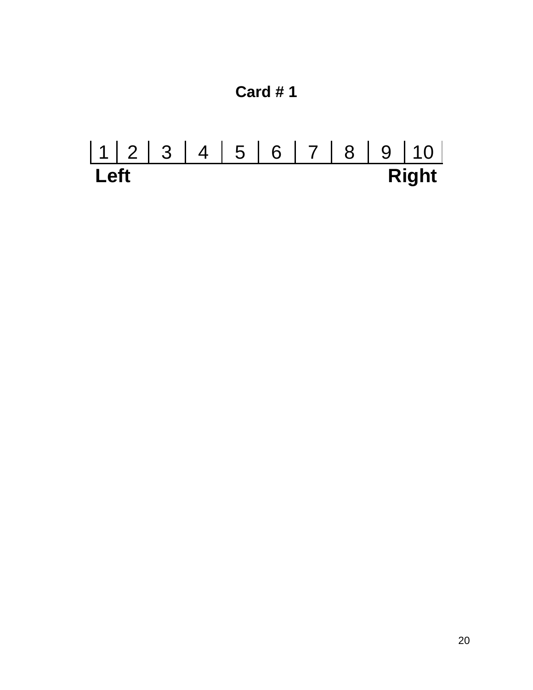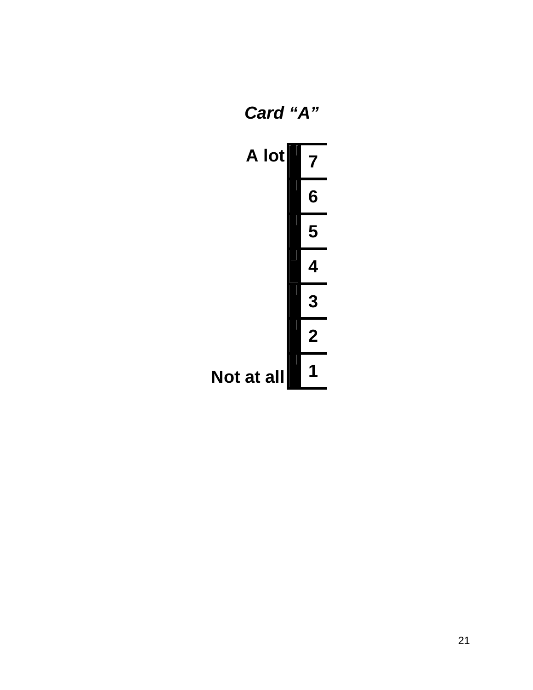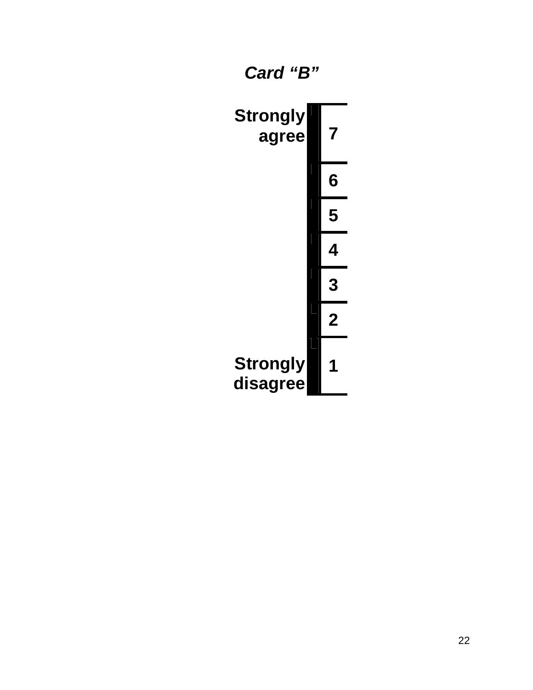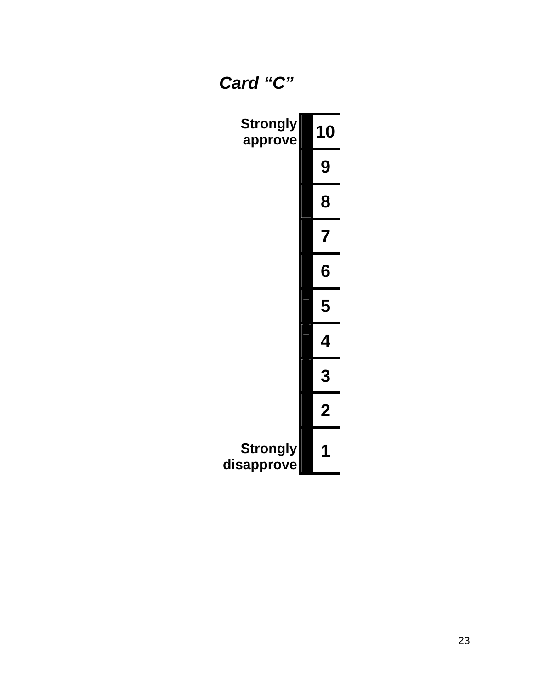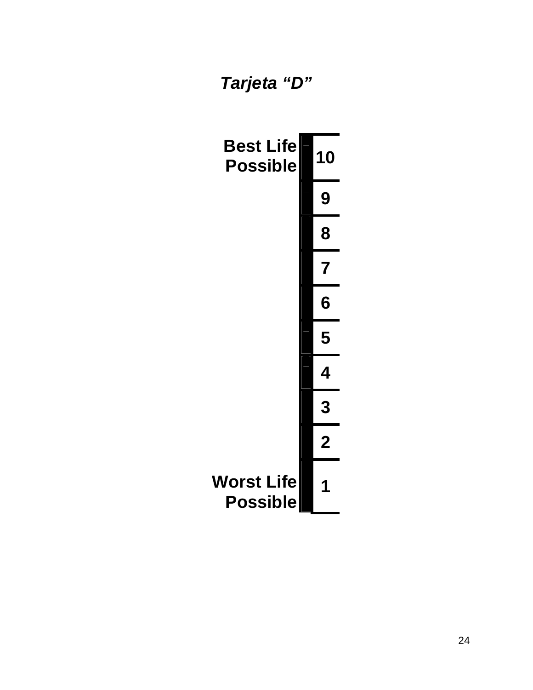# *Tarjeta "D"*